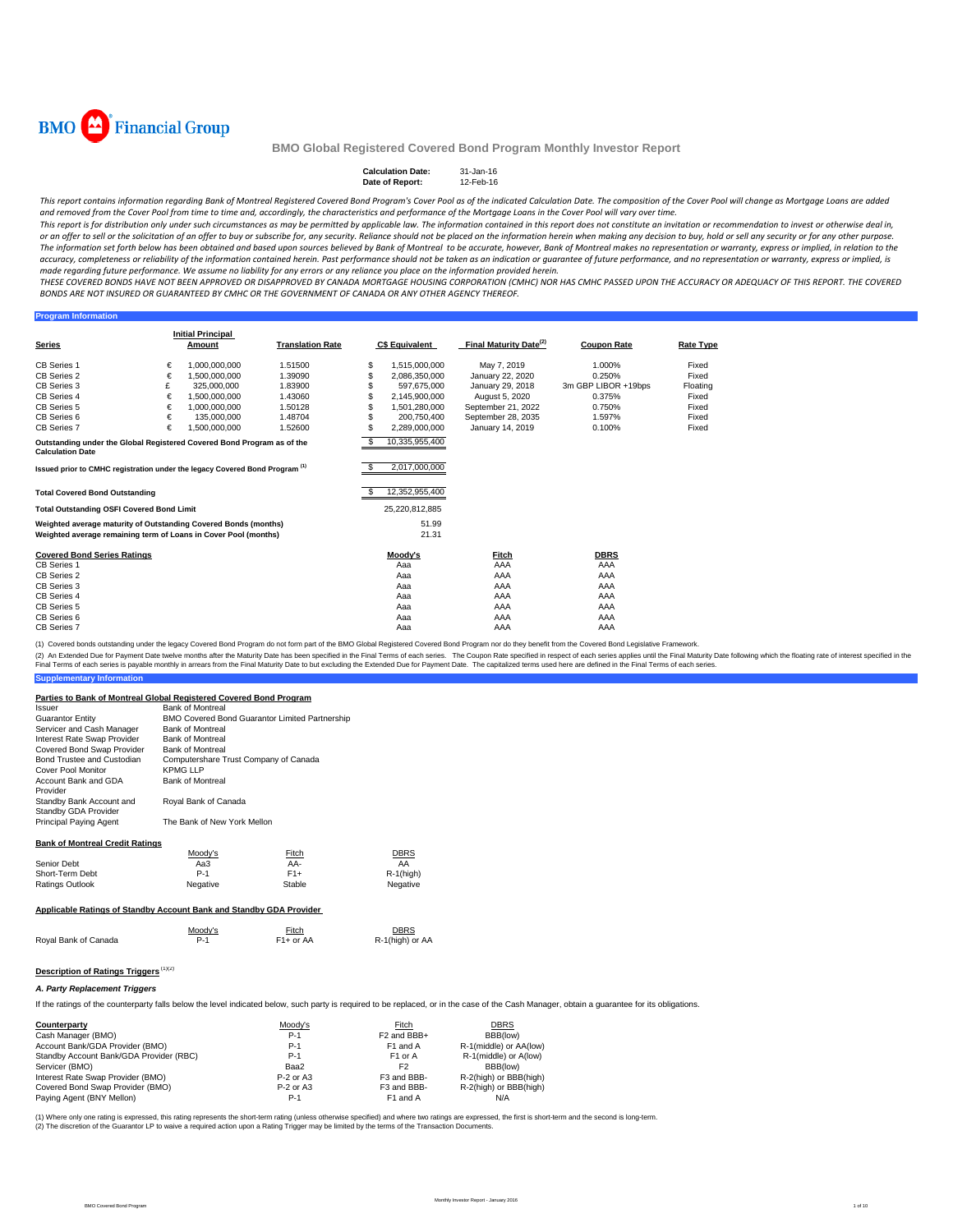

#### Calculation Date: 31-Jan-16<br>Date of Report: 12-Feb-16 **Date of Report:**

This report contains information regarding Bank of Montreal Registered Covered Bond Program's Cover Pool as of the indicated Calculation Date. The composition of the Cover Pool will change as Mortgage Loans are added and removed from the Cover Pool from time to time and, accordingly, the characteristics and performance of the Mortgage Loans in the Cover Pool will vary over time.

This report is for distribution only under such circumstances as may be permitted by applicable law. The information contained in this report does not constitute an invitation or recommendation to invest or otherwise deal or an offer to sell or the solicitation of an offer to buy or subscribe for, any security. Reliance should not be placed on the information herein when making any decision to buy, hold or sell any security or for any other The information set forth below has been obtained and based upon sources believed by Bank of Montreal to be accurate, however, Bank of Montreal makes no representation or warranty, express or implied, in relation to the accuracy, completeness or reliability of the information contained herein. Past performance should not be taken as an indication or guarantee of future performance, and no representation or warranty, express or implied, is made regarding future performance. We assume no liability for any errors or any reliance you place on the information provided herein.

THESE COVERED BONDS HAVE NOT BEEN APPROVED OR DISAPPROVED BY CANADA MORTGAGE HOUSING CORPORATION (CMHC) NOR HAS CMHC PASSED UPON THE ACCURACY OR ADFOUACY OF THIS REPORT. THE COVERED BONDS ARE NOT INSURED OR GUARANTEED BY CMHC OR THE GOVERNMENT OF CANADA OR ANY OTHER AGENCY THEREOF.

#### **Program Inform**

|                                                                                                   |   | <b>Initial Principal</b> |                         |     |                       |                                    |                     |                  |
|---------------------------------------------------------------------------------------------------|---|--------------------------|-------------------------|-----|-----------------------|------------------------------------|---------------------|------------------|
| <b>Series</b>                                                                                     |   | Amount                   | <b>Translation Rate</b> |     | <b>C\$ Equivalent</b> | Final Maturity Date <sup>(2)</sup> | <b>Coupon Rate</b>  | <b>Rate Type</b> |
| <b>CB Series 1</b>                                                                                | € | 1.000.000.000            | 1.51500                 | S   | 1,515,000,000         | May 7, 2019                        | 1.000%              | Fixed            |
| CB Series 2                                                                                       | € | 1,500,000,000            | 1.39090                 | S   | 2,086,350,000         | January 22, 2020                   | 0.250%              | Fixed            |
| CB Series 3                                                                                       | £ | 325,000,000              | 1.83900                 |     | 597.675.000           | January 29, 2018                   | 3m GBP LIBOR +19bps | Floating         |
| CB Series 4                                                                                       | € | 1,500,000,000            | 1.43060                 | \$  | 2,145,900,000         | August 5, 2020                     | 0.375%              | Fixed            |
| CB Series 5                                                                                       | € | 1.000.000.000            | 1.50128                 |     | 1.501.280.000         | September 21, 2022                 | 0.750%              | Fixed            |
| CB Series 6                                                                                       | € | 135,000,000              | 1.48704                 | S   | 200.750.400           | September 28, 2035                 | 1.597%              | Fixed            |
| CB Series 7                                                                                       | € | 1.500.000.000            | 1.52600                 | S   | 2.289.000.000         | January 14, 2019                   | 0.100%              | Fixed            |
| Outstanding under the Global Registered Covered Bond Program as of the<br><b>Calculation Date</b> |   |                          |                         | - 5 | 10,335,955,400        |                                    |                     |                  |
| Issued prior to CMHC registration under the legacy Covered Bond Program <sup>(1)</sup>            |   |                          |                         | S.  | 2,017,000,000         |                                    |                     |                  |
| <b>Total Covered Bond Outstanding</b>                                                             |   |                          |                         |     | 12,352,955,400        |                                    |                     |                  |
| <b>Total Outstanding OSFI Covered Bond Limit</b>                                                  |   |                          |                         |     | 25,220,812,885        |                                    |                     |                  |
| Weighted average maturity of Outstanding Covered Bonds (months)                                   |   |                          |                         |     | 51.99                 |                                    |                     |                  |
| Weighted average remaining term of Loans in Cover Pool (months)                                   |   |                          |                         |     | 21.31                 |                                    |                     |                  |
| <b>Covered Bond Series Ratings</b>                                                                |   |                          |                         |     | Moody's               | Fitch                              | <b>DBRS</b>         |                  |
| <b>CB Series 1</b>                                                                                |   |                          |                         |     | Aaa                   | AAA                                | AAA                 |                  |
| CB Series 2                                                                                       |   |                          |                         |     | Aaa                   | AAA                                | AAA                 |                  |
| CB Series 3                                                                                       |   |                          |                         |     | Aaa                   | AAA                                | AAA                 |                  |
| CB Series 4                                                                                       |   |                          |                         |     | Aaa                   | AAA                                | AAA                 |                  |
| CB Series 5                                                                                       |   |                          |                         |     | Aaa                   | AAA                                | AAA                 |                  |
| CB Series 6                                                                                       |   |                          |                         |     | Aaa                   | AAA                                | AAA                 |                  |
| <b>CB Series 7</b>                                                                                |   |                          |                         |     | Aaa                   | AAA                                | AAA                 |                  |

(1) Covered bonds outstanding under the legacy Covered Bond Program do not form part of the BMO Global Registered Covered Bond Program nor do they benefit from the Covered Bond Legislative Framework.

(2) An Extended Due for Payment Date twelve months after the Maturity Date has been specified in the Final Terms of each series. The Coupon Rate specified in the float has been but excluding the Extended Due for Payment Da

|  |  | <b>Supplementary Information</b> |  |  |  |
|--|--|----------------------------------|--|--|--|
|--|--|----------------------------------|--|--|--|

| Parties to Bank of Montreal Global Registered Covered Bond Program  |                                       |                                                |                         |  |  |  |  |  |
|---------------------------------------------------------------------|---------------------------------------|------------------------------------------------|-------------------------|--|--|--|--|--|
| Issuer                                                              | <b>Bank of Montreal</b>               |                                                |                         |  |  |  |  |  |
| <b>Guarantor Entity</b>                                             |                                       | BMO Covered Bond Guarantor Limited Partnership |                         |  |  |  |  |  |
| Servicer and Cash Manager                                           | <b>Bank of Montreal</b>               |                                                |                         |  |  |  |  |  |
| Interest Rate Swap Provider                                         | <b>Bank of Montreal</b>               |                                                |                         |  |  |  |  |  |
| Covered Bond Swap Provider                                          | <b>Bank of Montreal</b>               |                                                |                         |  |  |  |  |  |
| Bond Trustee and Custodian                                          | Computershare Trust Company of Canada |                                                |                         |  |  |  |  |  |
| Cover Pool Monitor                                                  | KPMG I I P                            |                                                |                         |  |  |  |  |  |
| Account Bank and GDA<br>Provider                                    | <b>Bank of Montreal</b>               |                                                |                         |  |  |  |  |  |
| Standby Bank Account and<br>Standby GDA Provider                    | Royal Bank of Canada                  |                                                |                         |  |  |  |  |  |
| Principal Paying Agent                                              | The Bank of New York Mellon           |                                                |                         |  |  |  |  |  |
| <b>Bank of Montreal Credit Ratings</b>                              |                                       |                                                |                         |  |  |  |  |  |
|                                                                     | Moody's                               | Fitch                                          | <b>DBRS</b>             |  |  |  |  |  |
| Senior Debt                                                         | Aa3                                   | AA-                                            | AA                      |  |  |  |  |  |
| Short-Term Debt                                                     | $P-1$                                 | $F1+$                                          | $R-1$ (high)            |  |  |  |  |  |
| Ratings Outlook                                                     | Negative                              | Stable                                         | Negative                |  |  |  |  |  |
| Applicable Ratings of Standby Account Bank and Standby GDA Provider |                                       |                                                |                         |  |  |  |  |  |
| Royal Bank of Canada                                                | Moody's<br>$P-1$                      | Fitch<br>$F1+$ or AA                           | DBRS<br>R-1(high) or AA |  |  |  |  |  |
| <b>Description of Ratings Triggers (1)(2)</b>                       |                                       |                                                |                         |  |  |  |  |  |

### *A. Party Replacement Triggers*

If the ratings of the counterparty falls below the level indicated below, such party is required to be replaced, or in the case of the Cash Manager, obtain a guarantee for its obligations.

| Counterparty                            | Moody's     | Fitch                   | <b>DBRS</b>            |
|-----------------------------------------|-------------|-------------------------|------------------------|
| Cash Manager (BMO)                      | P-1         | F <sub>2</sub> and BBB+ | BBB(low)               |
| Account Bank/GDA Provider (BMO)         | $P-1$       | F1 and A                | R-1(middle) or AA(low) |
| Standby Account Bank/GDA Provider (RBC) | $P-1$       | F <sub>1</sub> or A     | R-1(middle) or A(low)  |
| Servicer (BMO)                          | Baa2        | F <sub>2</sub>          | BBB(low)               |
| Interest Rate Swap Provider (BMO)       | $P-2$ or A3 | F3 and BBB-             | R-2(high) or BBB(high) |
| Covered Bond Swap Provider (BMO)        | $P-2$ or A3 | F <sub>3</sub> and BBB- | R-2(high) or BBB(high) |
| Paying Agent (BNY Mellon)               | P-1         | F1 and A                | N/A                    |
|                                         |             |                         |                        |

(1) Where only one rating is expressed, this rating represents the short-term rating (unless otherwise specified) and where two ratings are expressed, the first is short-term and the second is long-term. (2) The discretion of the Guarantor LP to waive a required action upon a Rating Trigger may be limited by the terms of the Transaction Documents.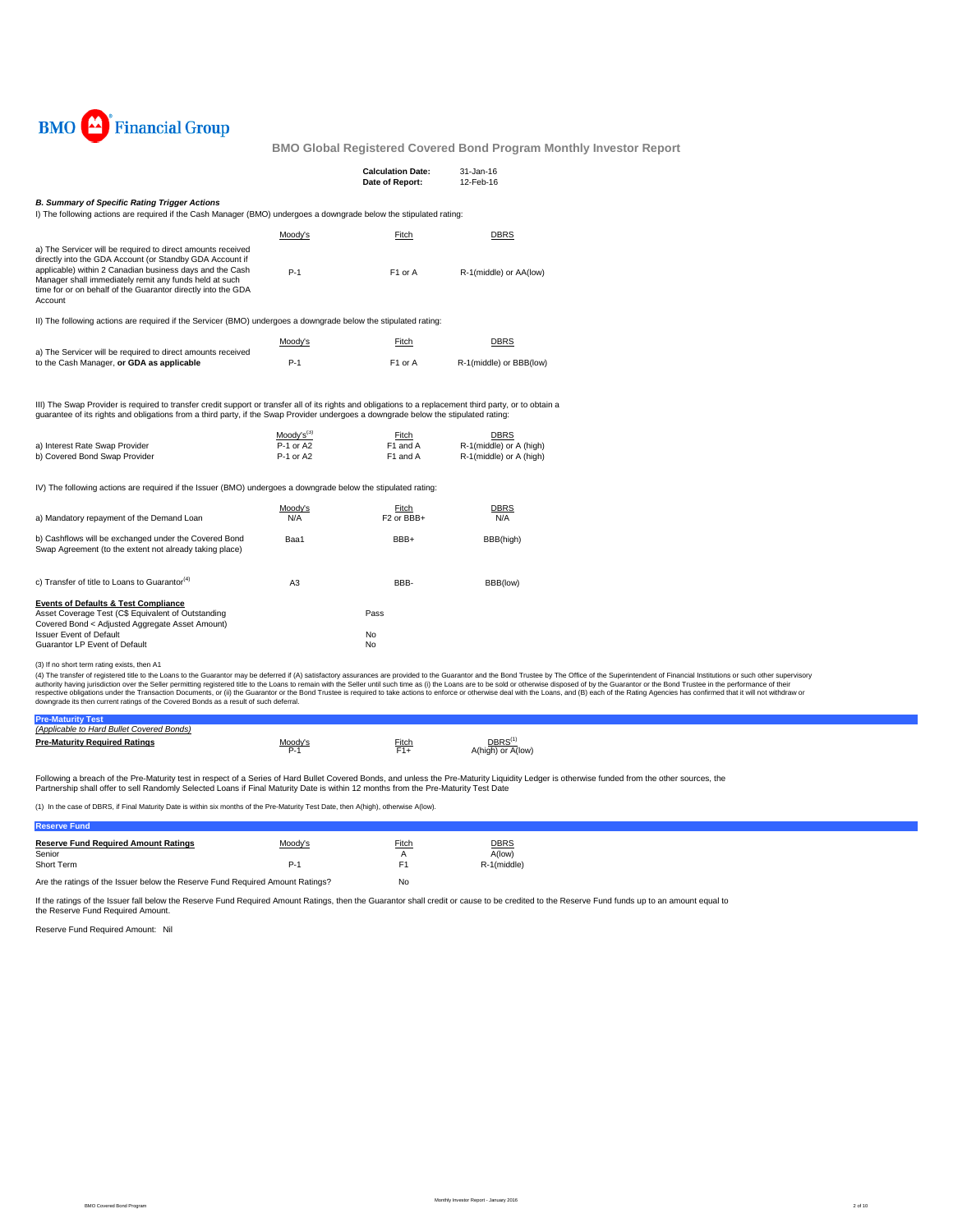

|                                                                                                                                                                                                                                                                                                                          |                                          | <b>Calculation Date:</b><br>Date of Report: | 31-Jan-16<br>12-Feb-16                                            |  |  |  |  |  |
|--------------------------------------------------------------------------------------------------------------------------------------------------------------------------------------------------------------------------------------------------------------------------------------------------------------------------|------------------------------------------|---------------------------------------------|-------------------------------------------------------------------|--|--|--|--|--|
| <b>B. Summary of Specific Rating Trigger Actions</b><br>I) The following actions are required if the Cash Manager (BMO) undergoes a downgrade below the stipulated rating:                                                                                                                                               |                                          |                                             |                                                                   |  |  |  |  |  |
|                                                                                                                                                                                                                                                                                                                          | Moody's                                  | <b>Fitch</b>                                | <b>DBRS</b>                                                       |  |  |  |  |  |
| a) The Servicer will be required to direct amounts received<br>directly into the GDA Account (or Standby GDA Account if<br>applicable) within 2 Canadian business days and the Cash<br>Manager shall immediately remit any funds held at such<br>time for or on behalf of the Guarantor directly into the GDA<br>Account | $P-1$                                    | F1 or A                                     | R-1(middle) or AA(low)                                            |  |  |  |  |  |
| II) The following actions are required if the Servicer (BMO) undergoes a downgrade below the stipulated rating:                                                                                                                                                                                                          |                                          |                                             |                                                                   |  |  |  |  |  |
|                                                                                                                                                                                                                                                                                                                          | Moody's                                  | Fitch                                       | <b>DBRS</b>                                                       |  |  |  |  |  |
| a) The Servicer will be required to direct amounts received<br>to the Cash Manager, or GDA as applicable                                                                                                                                                                                                                 | $P-1$                                    | F1 or A                                     | R-1(middle) or BBB(low)                                           |  |  |  |  |  |
| III) The Swap Provider is required to transfer credit support or transfer all of its rights and obligations to a replacement third party, or to obtain a<br>quarantee of its rights and obligations from a third party, if the Swap Provider undergoes a downgrade below the stipulated rating:                          |                                          |                                             |                                                                   |  |  |  |  |  |
| a) Interest Rate Swap Provider<br>b) Covered Bond Swap Provider                                                                                                                                                                                                                                                          | $Modv's^{(3)}$<br>P-1 or A2<br>P-1 or A2 | Fitch<br>F1 and A<br>F1 and A               | <b>DBRS</b><br>R-1(middle) or A (high)<br>R-1(middle) or A (high) |  |  |  |  |  |
| IV) The following actions are required if the Issuer (BMO) undergoes a downgrade below the stipulated rating:                                                                                                                                                                                                            |                                          |                                             |                                                                   |  |  |  |  |  |
| a) Mandatory repayment of the Demand Loan                                                                                                                                                                                                                                                                                | Moody's<br>N/A                           | Fitch<br>F <sub>2</sub> or BBB+             | DBRS<br>N/A                                                       |  |  |  |  |  |
| b) Cashflows will be exchanged under the Covered Bond<br>Swap Agreement (to the extent not already taking place)                                                                                                                                                                                                         | Baa1                                     | BBB+                                        | BBB(high)                                                         |  |  |  |  |  |
| c) Transfer of title to Loans to Guarantor <sup>(4)</sup>                                                                                                                                                                                                                                                                | A3                                       | BBB-                                        | BBB(low)                                                          |  |  |  |  |  |
| <b>Events of Defaults &amp; Test Compliance</b><br>Asset Coverage Test (C\$ Equivalent of Outstanding<br>Covered Bond < Adjusted Aggregate Asset Amount)                                                                                                                                                                 |                                          | Pass                                        |                                                                   |  |  |  |  |  |
| <b>Issuer Event of Default</b><br>Guarantor LP Event of Default                                                                                                                                                                                                                                                          |                                          | No<br>No                                    |                                                                   |  |  |  |  |  |

(3) If no short term rating exists, then A1<br>(4) The transfer of registered title to the Lalams to the Guarantor may be deferred if (A) satisfactory assurances are provided to the Guarantor and the Bond Trustee by The Offic

| (Applicable to Hard Bullet Covered Bonds) |         |       |                   |  |  |
|-------------------------------------------|---------|-------|-------------------|--|--|
| <b>Pre-Maturity Required Ratings</b>      | Moody's | Fitch | DBRS <sup>(</sup> |  |  |
|                                           | P-1     | F1+   | 4(high) or A(low) |  |  |
|                                           |         |       |                   |  |  |
|                                           |         |       |                   |  |  |

Following a breach of the Pre-Maturity test in respect of a Series of Hard Bullet Covered Bonds, and unless the Pre-Maturity Liquidity Ledger is otherwise funded from the other sources, the<br>Partnership shall offer to sell

(1) In the case of DBRS, if Final Maturity Date is within six months of the Pre-Maturity Test Date, then A(high), otherwise A(low).

## **Reserve Fund Reserve Fund Required Amount Ratings** Moody's Fitch DBRS DERS<br>
Senior Adiow)<br>
Short Term R-1 (middle) Senior A(low) and A A(low) and A A(low) and A A(low) and A A(low) and A A(low) and A A(low) and A A(low) and A Short Term R-1(middle) Reserves the Reserves of Performance Reserves F1 Reserves Reserves Reserves and Reserves Reserves Reserves and Reserves Reserves Reserves Reserves and Reserves Reserves Reserves and Reserves Reserves

Are the ratings of the Issuer below the Reserve Fund Required Amount Ratings? No

If the ratings of the Issuer fall below the Reserve Fund Required Amount Ratings, then the Guarantor shall credit or cause to be credited to the Reserve Fund funds up to an amount equal to the Reserve Fund Required Amount.

Reserve Fund Required Amount: Nil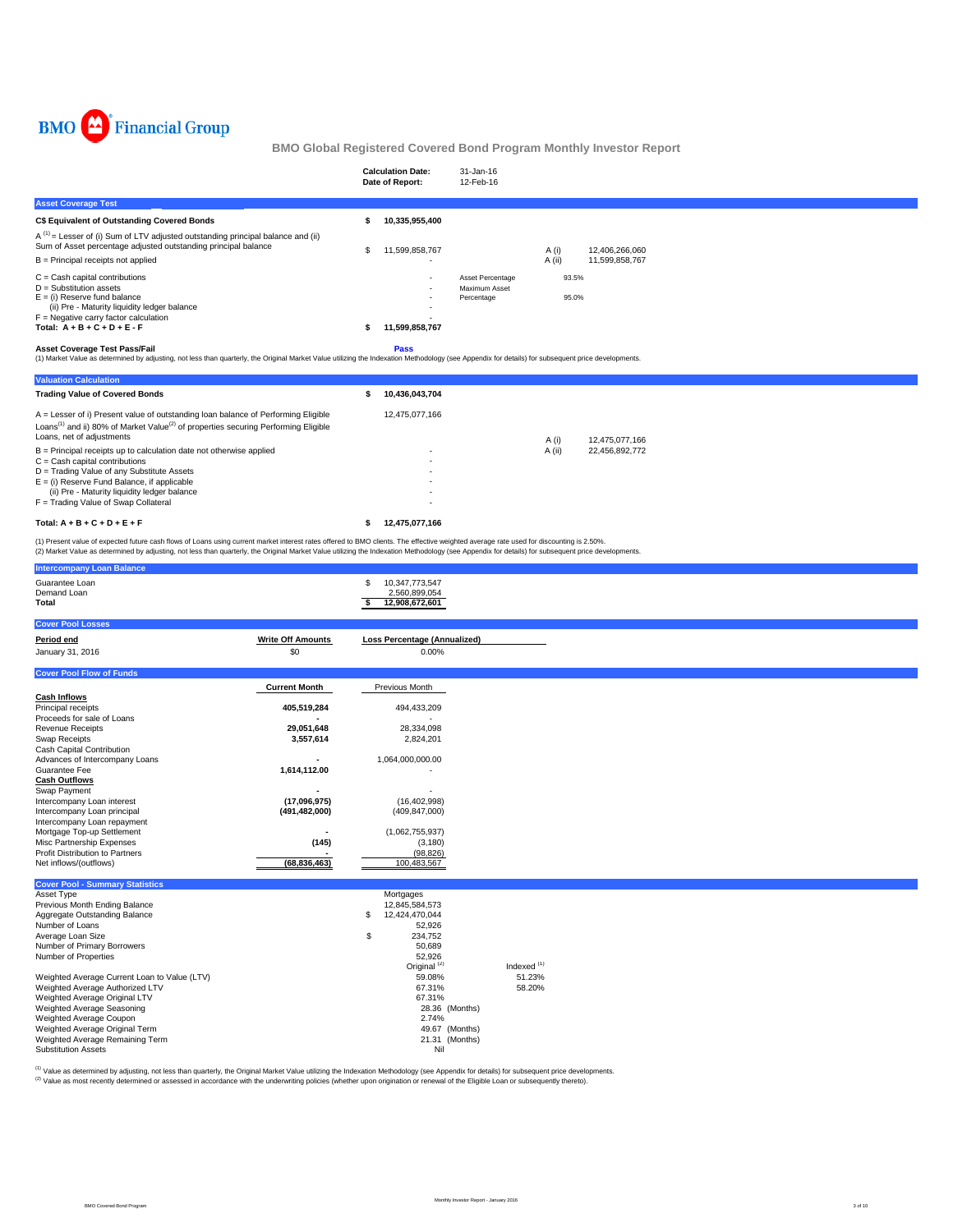

|                                                                                                                                                                                                                                                                      |     | <b>Calculation Date:</b><br>Date of Report: | 31-Jan-16<br>12-Feb-16                          |                 |                                  |  |
|----------------------------------------------------------------------------------------------------------------------------------------------------------------------------------------------------------------------------------------------------------------------|-----|---------------------------------------------|-------------------------------------------------|-----------------|----------------------------------|--|
| <b>Asset Coverage Test</b>                                                                                                                                                                                                                                           |     |                                             |                                                 |                 |                                  |  |
| C\$ Equivalent of Outstanding Covered Bonds                                                                                                                                                                                                                          |     | 10,335,955,400                              |                                                 |                 |                                  |  |
| $A^{(1)}$ = Lesser of (i) Sum of LTV adjusted outstanding principal balance and (ii)<br>Sum of Asset percentage adjusted outstanding principal balance<br>$B =$ Principal receipts not applied                                                                       | \$. | 11,599,858,767                              |                                                 | A (i)<br>A (ii) | 12,406,266,060<br>11,599,858,767 |  |
| $C =$ Cash capital contributions<br>$D =$ Substitution assets<br>$E =$ (i) Reserve fund balance<br>(ii) Pre - Maturity liquidity ledger balance<br>$F =$ Negative carry factor calculation<br>Total: $A + B + C + D + E - F$<br><b>Asset Coverage Test Pass/Fail</b> |     | 11,599,858,767<br>Pass                      | Asset Percentage<br>Maximum Asset<br>Percentage | 93.5%<br>95.0%  |                                  |  |
| (1) Market Value as determined by adjusting, not less than quarterly, the Original Market Value utilizing the Indexation Methodology (see Appendix for details) for subsequent price developments.                                                                   |     |                                             |                                                 |                 |                                  |  |
| <b>Valuation Calculation</b>                                                                                                                                                                                                                                         |     |                                             |                                                 |                 |                                  |  |
| <b>Trading Value of Covered Bonds</b>                                                                                                                                                                                                                                |     | 10,436,043,704                              |                                                 |                 |                                  |  |
| A = Lesser of i) Present value of outstanding loan balance of Performing Eligible<br>Loans <sup>(1)</sup> and ii) 80% of Market Value <sup>(2)</sup> of properties securing Performing Eligible<br>Loans, net of adjustments                                         |     | 12,475,077,166                              |                                                 | A(i)            | 12.475.077.166                   |  |
| $B =$ Principal receipts up to calculation date not otherwise applied<br>$C =$ Cash capital contributions<br>D = Trading Value of any Substitute Assets<br>$E =$ (i) Reserve Fund Balance, if applicable<br>(ii) Pre - Maturity liquidity ledger balance             |     |                                             |                                                 | A (ii)          | 22,456,892,772                   |  |
| F = Trading Value of Swap Collateral                                                                                                                                                                                                                                 |     |                                             |                                                 |                 |                                  |  |

## Total:  $A + B + C + D + E + F$  **\$** 12,475,077,166

(1) Present value of expected future cash flows of Loans using current market interest rates offered to BMO clients. The effective weighted average rate used for discounting is 2.50%.<br>(2) Market Value as determined by adju

| <b>Intercompany Loan Balance</b>             |                          |                                                         |                        |  |  |
|----------------------------------------------|--------------------------|---------------------------------------------------------|------------------------|--|--|
| Guarantee Loan<br>Demand Loan<br>Total       |                          | 10,347,773,547<br>\$<br>2,560,899,054<br>12,908,672,601 |                        |  |  |
| <b>Cover Pool Losses</b>                     |                          |                                                         |                        |  |  |
| Period end                                   | <b>Write Off Amounts</b> | <b>Loss Percentage (Annualized)</b>                     |                        |  |  |
| January 31, 2016                             | \$0                      | 0.00%                                                   |                        |  |  |
|                                              |                          |                                                         |                        |  |  |
| <b>Cover Pool Flow of Funds</b>              |                          |                                                         |                        |  |  |
|                                              | <b>Current Month</b>     | Previous Month                                          |                        |  |  |
| <b>Cash Inflows</b>                          |                          |                                                         |                        |  |  |
| Principal receipts                           | 405,519,284              | 494,433,209                                             |                        |  |  |
| Proceeds for sale of Loans                   |                          |                                                         |                        |  |  |
| <b>Revenue Receipts</b>                      | 29,051,648               | 28,334,098                                              |                        |  |  |
| <b>Swap Receipts</b>                         | 3,557,614                | 2,824,201                                               |                        |  |  |
| Cash Capital Contribution                    |                          |                                                         |                        |  |  |
| Advances of Intercompany Loans               |                          | 1,064,000,000.00                                        |                        |  |  |
| Guarantee Fee<br><b>Cash Outflows</b>        | 1,614,112.00             |                                                         |                        |  |  |
| Swap Payment                                 |                          |                                                         |                        |  |  |
| Intercompany Loan interest                   | (17,096,975)             | (16, 402, 998)                                          |                        |  |  |
| Intercompany Loan principal                  | (491, 482, 000)          | (409, 847, 000)                                         |                        |  |  |
| Intercompany Loan repayment                  |                          |                                                         |                        |  |  |
| Mortgage Top-up Settlement                   |                          | (1,062,755,937)                                         |                        |  |  |
| Misc Partnership Expenses                    | (145)                    | (3, 180)                                                |                        |  |  |
| Profit Distribution to Partners              |                          | (98, 826)                                               |                        |  |  |
| Net inflows/(outflows)                       | (68, 836, 463)           | 100,483,567                                             |                        |  |  |
|                                              |                          |                                                         |                        |  |  |
| <b>Cover Pool - Summary Statistics</b>       |                          |                                                         |                        |  |  |
| Asset Type<br>Previous Month Ending Balance  |                          | Mortgages<br>12,845,584,573                             |                        |  |  |
| Aggregate Outstanding Balance                |                          | 12,424,470,044<br>S                                     |                        |  |  |
| Number of Loans                              |                          | 52,926                                                  |                        |  |  |
| Average Loan Size                            |                          | \$<br>234,752                                           |                        |  |  |
| Number of Primary Borrowers                  |                          | 50,689                                                  |                        |  |  |
| Number of Properties                         |                          | 52,926                                                  |                        |  |  |
|                                              |                          | Original <sup>(2)</sup>                                 | Indexed <sup>(1)</sup> |  |  |
| Weighted Average Current Loan to Value (LTV) |                          | 59.08%                                                  | 51.23%                 |  |  |
| Weighted Average Authorized LTV              |                          | 67.31%                                                  | 58.20%                 |  |  |
| Weighted Average Original LTV                |                          | 67.31%                                                  |                        |  |  |
| Weighted Average Seasoning                   |                          | 28.36 (Months)                                          |                        |  |  |
| Weighted Average Coupon                      |                          | 2.74%                                                   |                        |  |  |
| Weighted Average Original Term               |                          | 49.67 (Months)                                          |                        |  |  |
| Weighted Average Remaining Term              |                          | 21.31 (Months)                                          |                        |  |  |
| <b>Substitution Assets</b>                   |                          | Nil                                                     |                        |  |  |

<sup>(1)</sup> Value as determined by adjusting, not less than quarterly, the Original Market Value utilizing the Indexation Methodology (see Appendix for details) for subsequent price developments.<br><sup>(2)</sup> Value as most recently det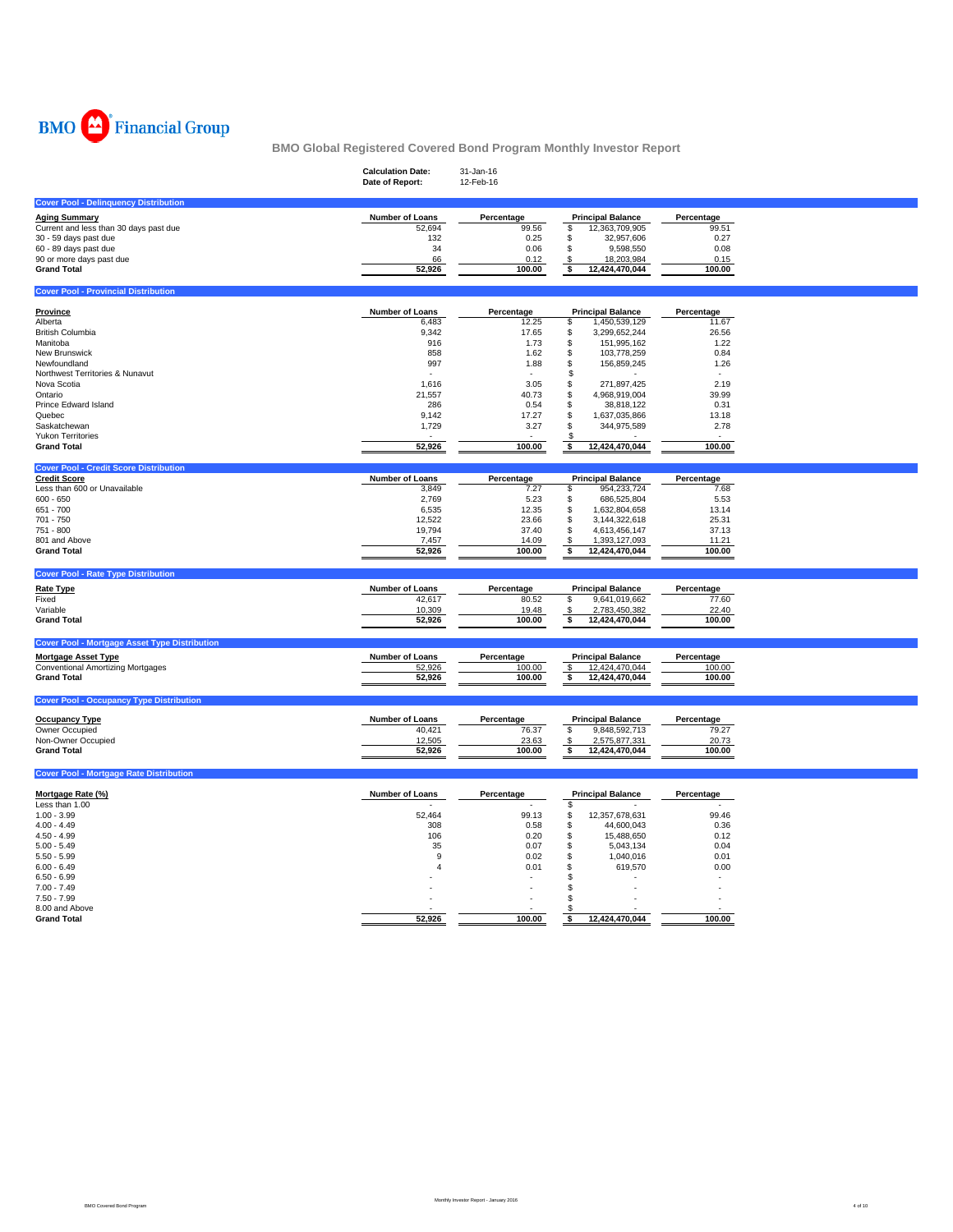

|                                                      | <b>Calculation Date:</b><br>Date of Report: | 31-Jan-16<br>12-Feb-16 |                                                 |                     |
|------------------------------------------------------|---------------------------------------------|------------------------|-------------------------------------------------|---------------------|
|                                                      |                                             |                        |                                                 |                     |
| <b>Cover Pool - Delinquency Distribution</b>         |                                             |                        |                                                 |                     |
| <b>Aging Summary</b>                                 | Number of Loans                             | Percentage             | <b>Principal Balance</b>                        | Percentage          |
| Current and less than 30 days past due               | 52,694                                      | 99.56                  | \$<br>12,363,709,905                            | 99.51               |
| 30 - 59 days past due                                | 132                                         | 0.25                   | \$<br>32,957,606                                | 0.27                |
| 60 - 89 days past due                                | 34                                          | 0.06                   | \$<br>9,598,550                                 | 0.08                |
| 90 or more days past due                             | 66                                          | 0.12                   | 18,203,984<br>\$                                | 0.15                |
| <b>Grand Total</b>                                   | 52,926                                      | 100.00                 | \$<br>12,424,470,044                            | 100.00              |
| <b>Cover Pool - Provincial Distribution</b>          |                                             |                        |                                                 |                     |
|                                                      |                                             |                        |                                                 |                     |
| <b>Province</b><br>Alberta                           | <b>Number of Loans</b><br>6,483             | Percentage<br>12.25    | <b>Principal Balance</b><br>\$<br>1,450,539,129 | Percentage<br>11.67 |
| <b>British Columbia</b>                              | 9,342                                       | 17.65                  | \$<br>3,299,652,244                             | 26.56               |
| Manitoba                                             | 916                                         | 1.73                   | \$<br>151,995,162                               | 1.22                |
| New Brunswick                                        | 858                                         | 1.62                   | \$<br>103,778,259                               | 0.84                |
| Newfoundland                                         | 997                                         | 1.88                   | 156,859,245<br>\$                               | 1.26                |
| Northwest Territories & Nunavut                      | ٠                                           | $\sim$                 | £.<br>$\sim$                                    |                     |
| Nova Scotia                                          | 1,616                                       | 3.05                   | \$<br>271,897,425                               | 2.19                |
| Ontario                                              | 21,557                                      | 40.73                  | \$<br>4,968,919,004                             | 39.99               |
| Prince Edward Island                                 | 286                                         | 0.54                   | \$<br>38,818,122                                | 0.31                |
| Quebec                                               | 9,142                                       | 17.27                  | \$<br>1,637,035,866                             | 13.18               |
| Saskatchewan                                         | 1,729                                       | 3.27                   | \$<br>344,975,589                               | 2.78                |
| Yukon Territories                                    |                                             |                        | £.                                              |                     |
| <b>Grand Total</b>                                   | 52,926                                      | 100.00                 | 12,424,470,044<br>\$                            | 100.00              |
| <b>Cover Pool - Credit Score Distribution</b>        |                                             |                        |                                                 |                     |
| <b>Credit Score</b>                                  | Number of Loans                             | Percentage             | <b>Principal Balance</b>                        | Percentage          |
| Less than 600 or Unavailable                         | 3,849                                       | 7.27                   | \$<br>954,233,724                               | 7.68                |
| $600 - 650$                                          | 2,769                                       | 5.23                   | \$<br>686,525,804                               | 5.53                |
| 651 - 700                                            | 6,535                                       | 12.35                  | \$<br>1,632,804,658                             | 13.14               |
| 701 - 750                                            | 12,522                                      | 23.66                  | \$<br>3,144,322,618                             | 25.31               |
| 751 - 800                                            | 19,794                                      | 37.40                  | \$<br>4,613,456,147                             | 37.13               |
| 801 and Above                                        | 7,457                                       | 14.09                  | \$<br>1,393,127,093                             | 11.21               |
| <b>Grand Total</b>                                   | 52,926                                      | 100.00                 | 12,424,470,044<br>\$                            | 100.00              |
| <b>Cover Pool - Rate Type Distribution</b>           |                                             |                        |                                                 |                     |
|                                                      |                                             |                        |                                                 |                     |
| <b>Rate Type</b><br>Fixed                            | Number of Loans<br>42,617                   | Percentage             | <b>Principal Balance</b><br>\$                  | Percentage<br>77.60 |
|                                                      |                                             | 80.52                  | 9,641,019,662                                   |                     |
| Variable<br><b>Grand Total</b>                       | 10,309<br>52,926                            | 19.48<br>100.00        | 2,783,450,382<br>\$<br>\$<br>12,424,470,044     | 22.40<br>100.00     |
|                                                      |                                             |                        |                                                 |                     |
| <b>Cover Pool - Mortgage Asset Type Distribution</b> |                                             |                        |                                                 |                     |
| <b>Mortgage Asset Type</b>                           | Number of Loans                             | Percentage             | <b>Principal Balance</b>                        | Percentage          |
| <b>Conventional Amortizing Mortgages</b>             | 52,926                                      | 100.00                 | $\sqrt[6]{\frac{2}{5}}$<br>12,424,470,044       | 100.00              |
| <b>Grand Total</b>                                   | 52,926                                      | 100.00                 | \$<br>12,424,470,044                            | 100.00              |
|                                                      |                                             |                        |                                                 |                     |
| <b>Cover Pool - Occupancy Type Distribution</b>      |                                             |                        |                                                 |                     |
| <b>Occupancy Type</b>                                | Number of Loans                             | Percentage             | <b>Principal Balance</b>                        | Percentage          |
| Owner Occupied                                       | 40,421                                      | 76.37                  | \$<br>9,848,592,713                             | 79.27               |
| Non-Owner Occupied                                   | 12,505                                      | 23.63                  | 2,575,877,331<br>\$                             | 20.73               |
| <b>Grand Total</b>                                   | 52,926                                      | 100.00                 | 12,424,470,044<br>\$                            | 100.00              |
| <b>Cover Pool - Mortgage Rate Distribution</b>       |                                             |                        |                                                 |                     |
|                                                      |                                             |                        |                                                 |                     |
| Mortgage Rate (%)                                    | Number of Loans                             | Percentage             | <b>Principal Balance</b>                        | Percentage          |
| Less than 1.00                                       |                                             |                        | \$                                              |                     |
| $1.00 - 3.99$                                        | 52,464                                      | 99.13                  | 12,357,678,631<br>\$                            | 99.46               |
| $4.00 - 4.49$                                        | 308                                         | 0.58                   | \$<br>44,600,043                                | 0.36                |
| $4.50 - 4.99$                                        | 106                                         | 0.20                   | \$<br>15,488,650                                | 0.12                |
| $5.00 - 5.49$                                        | 35                                          | 0.07                   | S<br>5,043,134                                  | 0.04                |
| $5.50 - 5.99$                                        | 9<br>$\overline{4}$                         | 0.02                   | \$<br>1,040,016                                 | 0.01                |
| $6.00 - 6.49$                                        |                                             | 0.01                   | S<br>619,570<br>\$                              | 0.00                |
| $6.50 - 6.99$<br>$7.00 - 7.49$                       |                                             |                        | \$.                                             |                     |
| $7.50 - 7.99$                                        |                                             |                        | я                                               |                     |
| 8.00 and Above                                       |                                             |                        | S                                               |                     |
| <b>Grand Total</b>                                   | 52,926                                      | 100.00                 | 12,424,470,044<br>\$                            | 100.00              |
|                                                      |                                             |                        |                                                 |                     |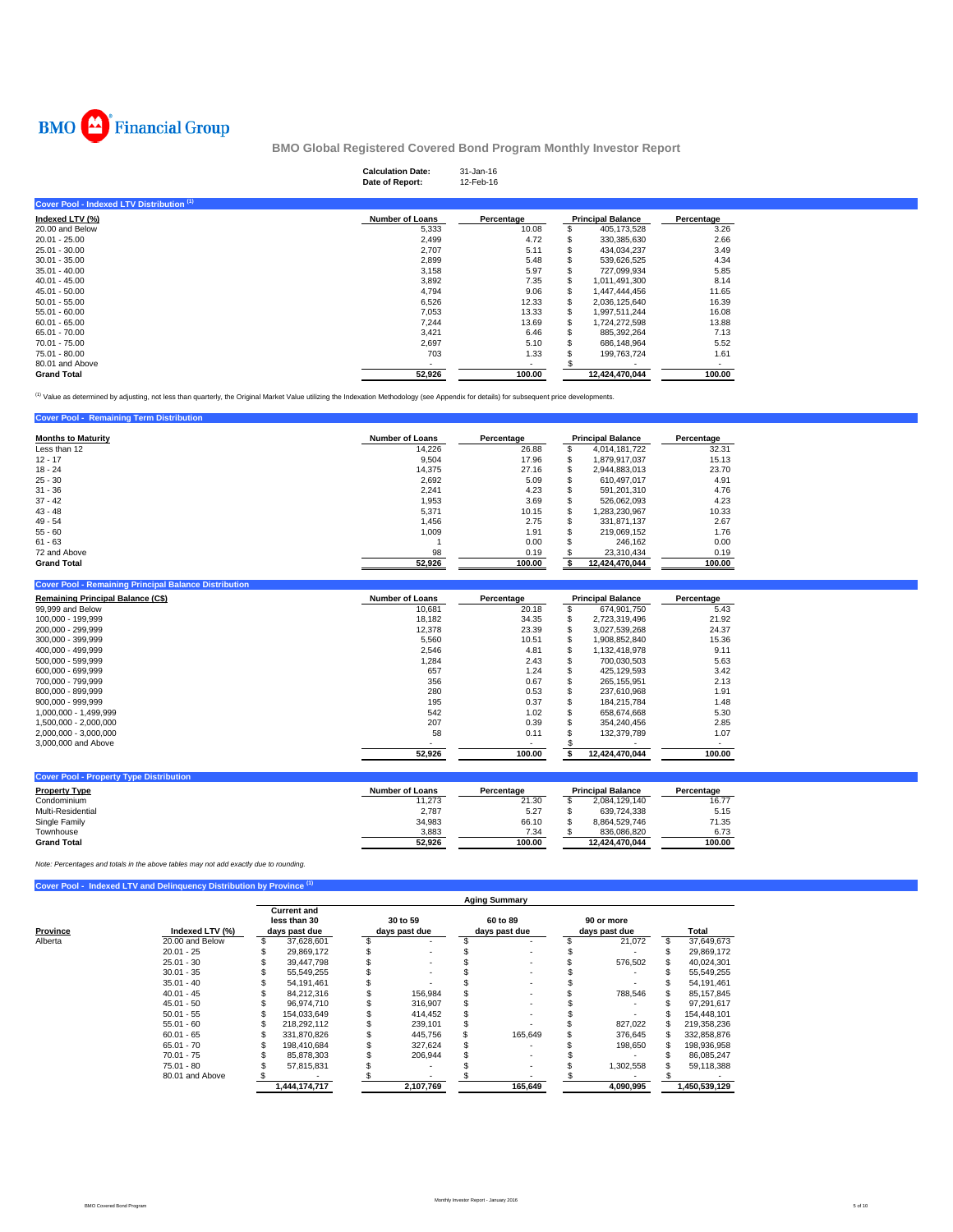

**Cover Pool - Remaining Term** 

**BMO Global Registered Covered Bond Program Monthly Investor Report**

# **Calculation Date:** 31-Jan-16 **Date of Report:** 12-Feb-16

| <b>Number of Loans</b>   | Percentage |   |                | Percentage               |  |
|--------------------------|------------|---|----------------|--------------------------|--|
| 5,333                    | 10.08      |   | 405,173,528    | 3.26                     |  |
| 2,499                    | 4.72       |   | 330,385,630    | 2.66                     |  |
| 2,707                    | 5.11       |   | 434.034.237    | 3.49                     |  |
| 2,899                    | 5.48       |   | 539.626.525    | 4.34                     |  |
| 3,158                    | 5.97       |   | 727,099,934    | 5.85                     |  |
| 3,892                    | 7.35       |   | 1,011,491,300  | 8.14                     |  |
| 4,794                    | 9.06       |   | 1,447,444,456  | 11.65                    |  |
| 6,526                    | 12.33      |   | 2.036.125.640  | 16.39                    |  |
| 7.053                    | 13.33      |   | 1,997,511,244  | 16.08                    |  |
| 7.244                    | 13.69      | ж | 1.724.272.598  | 13.88                    |  |
| 3.421                    | 6.46       | ж | 885,392,264    | 7.13                     |  |
| 2.697                    | 5.10       |   | 686.148.964    | 5.52                     |  |
| 703                      | 1.33       |   | 199,763,724    | 1.61                     |  |
| $\overline{\phantom{a}}$ | ٠          |   |                |                          |  |
| 52,926                   | 100.00     |   | 12.424.470.044 | 100.00                   |  |
|                          |            |   |                | <b>Principal Balance</b> |  |

<sup>(1)</sup> Value as determined by adjusting, not less than quarterly, the Original Market Value utilizing the Indexation Methodology (see Appendix for details) for subsequent price developments.

| <b>Months to Maturity</b> | <b>Number of Loans</b> | Percentage | <b>Principal Balance</b> |                | Percentage |  |
|---------------------------|------------------------|------------|--------------------------|----------------|------------|--|
| Less than 12              | 14.226                 | 26.88      | s                        | 4,014,181,722  | 32.31      |  |
| $12 - 17$                 | 9.504                  | 17.96      | S                        | 1,879,917,037  | 15.13      |  |
| $18 - 24$                 | 14.375                 | 27.16      |                          | 2,944,883,013  | 23.70      |  |
| $25 - 30$                 | 2.692                  | 5.09       |                          | 610.497.017    | 4.91       |  |
| $31 - 36$                 | 2,241                  | 4.23       | ъ                        | 591.201.310    | 4.76       |  |
| $37 - 42$                 | 1,953                  | 3.69       |                          | 526.062.093    | 4.23       |  |
| $43 - 48$                 | 5.371                  | 10.15      | \$                       | 1.283.230.967  | 10.33      |  |
| $49 - 54$                 | 1.456                  | 2.75       |                          | 331.871.137    | 2.67       |  |
| $55 - 60$                 | 1.009                  | 1.91       |                          | 219.069.152    | 1.76       |  |
| $61 - 63$                 |                        | 0.00       |                          | 246.162        | 0.00       |  |
| 72 and Above              | 98                     | 0.19       |                          | 23.310.434     | 0.19       |  |
| <b>Grand Total</b>        | 52.926                 | 100.00     |                          | 12.424.470.044 | 100.00     |  |

| <b>Cover Pool - Remaining Principal Balance Distribution</b> |                        |            |                          |            |
|--------------------------------------------------------------|------------------------|------------|--------------------------|------------|
| <b>Remaining Principal Balance (C\$)</b>                     | <b>Number of Loans</b> | Percentage | <b>Principal Balance</b> | Percentage |
| 99,999 and Below                                             | 10.681                 | 20.18      | 674.901.750              | 5.43       |
| 100.000 - 199.999                                            | 18.182                 | 34.35      | 2.723.319.496            | 21.92      |
| 200.000 - 299.999                                            | 12.378                 | 23.39      | 3.027.539.268            | 24.37      |
| 300.000 - 399.999                                            | 5,560                  | 10.51      | 1,908,852,840            | 15.36      |
| 400.000 - 499.999                                            | 2,546                  | 4.81       | 1,132,418,978            | 9.11       |
| 500.000 - 599.999                                            | 1,284                  | 2.43       | 700.030.503              | 5.63       |
| 600.000 - 699.999                                            | 657                    | 1.24       | 425.129.593              | 3.42       |
| 700.000 - 799.999                                            | 356                    | 0.67       | 265.155.951              | 2.13       |
| 800.000 - 899.999                                            | 280                    | 0.53       | 237.610.968              | 1.91       |
| 900.000 - 999.999                                            | 195                    | 0.37       | 184.215.784              | 1.48       |
| 1.000.000 - 1.499.999                                        | 542                    | 1.02       | 658.674.668              | 5.30       |
| 1.500.000 - 2.000.000                                        | 207                    | 0.39       | 354.240.456              | 2.85       |
| 2.000.000 - 3.000.000                                        | 58                     | 0.11       | 132.379.789              | 1.07       |
| 3,000,000 and Above                                          |                        |            |                          |            |
|                                                              | 52.926                 | 100.00     | 12,424,470,044           | 100.00     |

| Number of Loans | Percentage |                | Percentage               |
|-----------------|------------|----------------|--------------------------|
| 11.273          | 21.30      | 2.084.129.140  | 16.77                    |
| 2.787           | 5.27       | 639.724.338    | 5.15                     |
| 34,983          | 66.10      | 8.864.529.746  | 71.35                    |
| 3,883           | 7.34       | 836.086.820    | 6.73                     |
| 52.926          | 100.00     | 12.424.470.044 | 100.00                   |
|                 |            |                | <b>Principal Balance</b> |

*Note: Percentages and totals in the above tables may not add exactly due to rounding.*

|  | Cover Pool - Indexed LTV and Delinquency Distribution by Province (1) |  |
|--|-----------------------------------------------------------------------|--|
|  |                                                                       |  |

|          |                 | <b>Aging Summary</b> |                                                     |  |                           |  |                           |  |                             |     |               |  |  |
|----------|-----------------|----------------------|-----------------------------------------------------|--|---------------------------|--|---------------------------|--|-----------------------------|-----|---------------|--|--|
| Province | Indexed LTV (%) |                      | <b>Current and</b><br>less than 30<br>days past due |  | 30 to 59<br>days past due |  | 60 to 89<br>days past due |  | 90 or more<br>days past due |     | Total         |  |  |
| Alberta  | 20.00 and Below | \$                   | 37,628,601                                          |  |                           |  |                           |  | 21,072                      | \$. | 37,649,673    |  |  |
|          | $20.01 - 25$    |                      | 29.869.172                                          |  | $\overline{\phantom{a}}$  |  |                           |  |                             |     | 29,869,172    |  |  |
|          | $25.01 - 30$    |                      | 39.447.798                                          |  | $\overline{\phantom{a}}$  |  |                           |  | 576,502                     |     | 40,024,301    |  |  |
|          | $30.01 - 35$    |                      | 55,549,255                                          |  | $\overline{\phantom{a}}$  |  |                           |  |                             |     | 55,549,255    |  |  |
|          | $35.01 - 40$    |                      | 54.191.461                                          |  |                           |  |                           |  |                             |     | 54,191,461    |  |  |
|          | $40.01 - 45$    |                      | 84,212,316                                          |  | 156.984                   |  |                           |  | 788.546                     |     | 85, 157, 845  |  |  |
|          | $45.01 - 50$    |                      | 96.974.710                                          |  | 316.907                   |  |                           |  |                             |     | 97.291.617    |  |  |
|          | $50.01 - 55$    |                      | 154.033.649                                         |  | 414.452                   |  |                           |  |                             |     | 154.448.101   |  |  |
|          | $55.01 - 60$    |                      | 218.292.112                                         |  | 239.101                   |  |                           |  | 827.022                     |     | 219,358,236   |  |  |
|          | $60.01 - 65$    |                      | 331.870.826                                         |  | 445.756                   |  | 165.649                   |  | 376,645                     |     | 332,858,876   |  |  |
|          | $65.01 - 70$    |                      | 198.410.684                                         |  | 327.624                   |  |                           |  | 198.650                     |     | 198,936,958   |  |  |
|          | $70.01 - 75$    |                      | 85.878.303                                          |  | 206.944                   |  |                           |  |                             |     | 86,085,247    |  |  |
|          | $75.01 - 80$    |                      | 57.815.831                                          |  |                           |  |                           |  | 1,302,558                   |     | 59,118,388    |  |  |
|          | 80.01 and Above |                      |                                                     |  |                           |  |                           |  |                             |     |               |  |  |
|          |                 |                      | 1,444,174,717                                       |  | 2,107,769                 |  | 165,649                   |  | 4,090,995                   |     | 1,450,539,129 |  |  |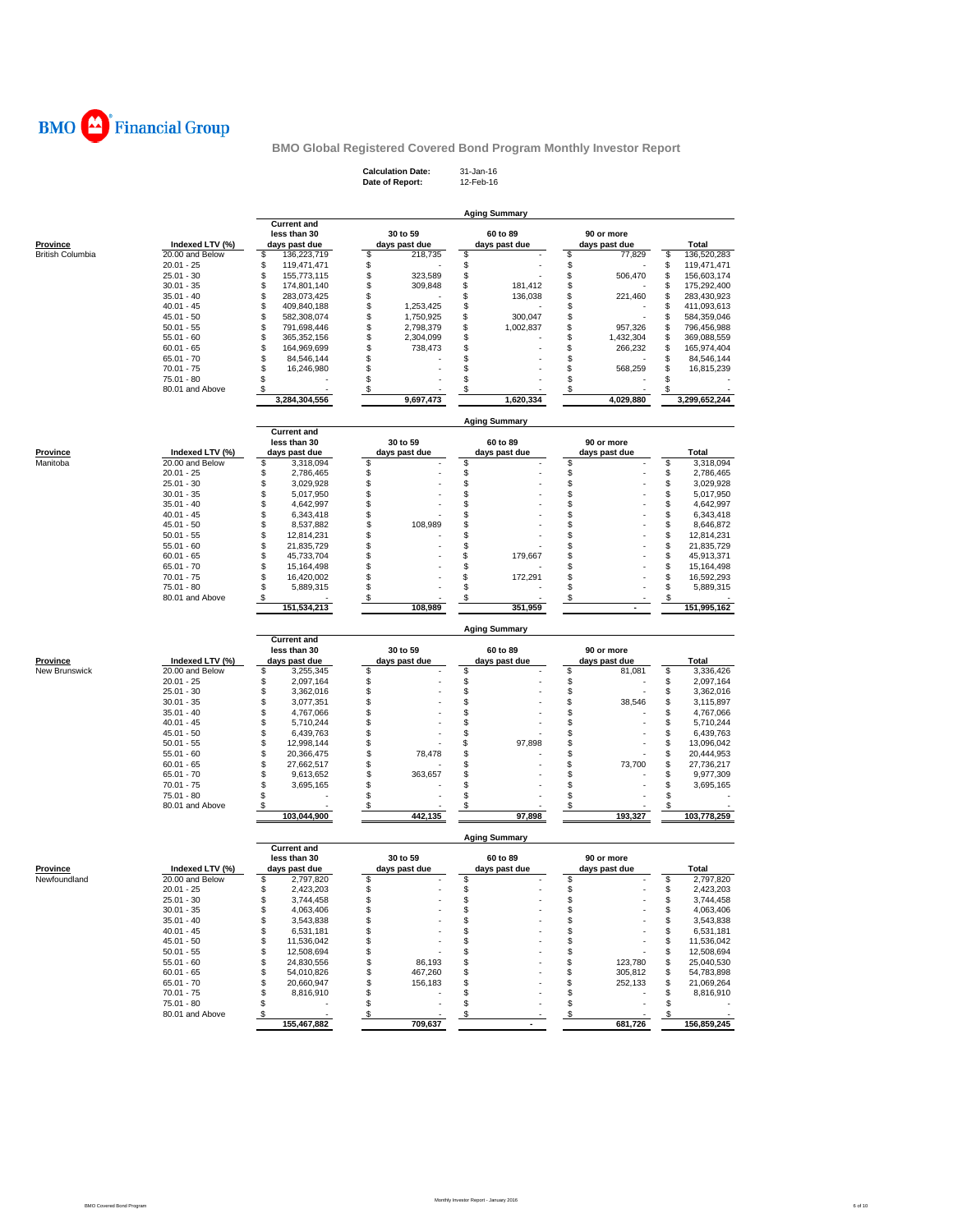

**Calculation Date:** 31-Jan-16 **Date of Report:** 12-Feb-16

| <b>Current and</b><br>30 to 59<br>less than 30<br>60 to 89<br>90 or more<br><b>Province</b><br>Indexed LTV (%)<br>days past due<br>days past due<br>days past due<br>days past due<br><b>Total</b><br><b>British Columbia</b><br>\$<br>\$<br>\$<br>\$<br>\$<br>20.00 and Below<br>136,223,719<br>218,735<br>77,829<br>136,520,283<br>\$<br>\$<br>\$<br>$20.01 - 25$<br>\$<br>119,471,471<br>\$<br>119,471,471<br>\$<br>\$<br>\$<br>\$<br>$25.01 - 30$<br>\$<br>323,589<br>506,470<br>155,773,115<br>156,603,174<br>\$<br>\$<br>\$<br>\$<br>\$<br>309,848<br>181,412<br>$30.01 - 35$<br>174,801,140<br>175,292,400<br>\$<br>\$<br>136,038<br>\$<br>\$<br>$35.01 - 40$<br>283,073,425<br>\$<br>221,460<br>283,430,923<br>\$<br>\$<br>\$<br>\$<br>\$<br>$40.01 - 45$<br>409,840,188<br>1,253,425<br>411,093,613<br>\$<br>\$<br>\$<br>582,308,074<br>\$<br>300,047<br>\$<br>584,359,046<br>45.01 - 50<br>1,750,925<br>\$<br>\$<br>\$<br>\$<br>\$<br>791,698,446<br>1,002,837<br>$50.01 - 55$<br>2,798,379<br>957,326<br>796,456,988<br>Ş<br>\$<br>\$<br>\$<br>\$<br>365,352,156<br>2,304,099<br>1,432,304<br>369,088,559<br>$55.01 - 60$<br>\$<br>\$<br>\$<br>\$<br>\$<br>$60.01 - 65$<br>164,969,699<br>738,473<br>266,232<br>165,974,404<br>\$<br>\$<br>\$<br>\$<br>$65.01 - 70$<br>84,546,144<br>\$<br>84,546,144<br>\$<br>\$<br>\$<br>$70.01 - 75$<br>\$<br>16,246,980<br>\$<br>568,259<br>16,815,239<br>\$<br>\$<br>\$<br>\$<br>75.01 - 80<br>\$<br>80.01 and Above<br>\$<br>\$<br>\$<br>\$<br>\$<br>3,284,304,556<br>9,697,473<br>1,620,334<br>4,029,880<br>3,299,652,244<br><b>Aging Summary</b><br><b>Current and</b><br>less than 30<br>30 to 59<br>90 or more<br>60 to 89<br><u>Province</u><br>Indexed LTV (%)<br>days past due<br>days past due<br>days past due<br>days past due<br>Total<br>\$<br>\$<br>\$<br>\$<br>Manitoba<br>20.00 and Below<br>\$<br>3,318,094<br>3,318,094<br>\$<br>\$<br>\$<br>$20.01 - 25$<br>\$<br>2,786,465<br>\$<br>2,786,465<br>\$<br>\$<br>\$<br>\$<br>\$<br>$25.01 - 30$<br>3,029,928<br>3,029,928<br>\$<br>\$<br>\$<br>\$<br>$30.01 - 35$<br>5,017,950<br>\$<br>5,017,950<br>\$<br>\$<br>\$<br>\$<br>\$<br>$35.01 - 40$<br>4,642,997<br>4,642,997<br>\$<br>\$<br>\$<br>\$<br>\$<br>$40.01 - 45$<br>6,343,418<br>6,343,418<br>\$<br>\$<br>\$<br>\$<br>45.01 - 50<br>8,537,882<br>\$<br>108,989<br>8,646,872<br>\$<br>\$<br>\$<br>\$<br>$50.01 - 55$<br>12,814,231<br>\$<br>12,814,231<br>\$<br>\$<br>\$<br>\$<br>$55.01 - 60$<br>21,835,729<br>\$<br>21,835,729<br>\$<br>\$<br>\$<br>\$<br>\$<br>179,667<br>$60.01 - 65$<br>45,733,704<br>45,913,371<br>\$<br>\$<br>\$<br>\$<br>\$<br>65.01 - 70<br>15,164,498<br>15,164,498<br>\$<br>\$<br>\$<br>\$<br>$70.01 - 75$<br>16,420,002<br>\$<br>172,291<br>16,592,293<br>\$<br>\$<br>\$<br>\$<br>75.01 - 80<br>5,889,315<br>\$<br>5,889,315<br>\$<br>\$<br>\$<br>\$<br>80.01 and Above<br>\$<br>108,989<br>351,959<br>151,995,162<br>151,534,213<br>$\sim$<br><b>Aging Summary</b><br><b>Current and</b><br>less than 30<br>30 to 59<br>60 to 89<br>90 or more<br><b>Province</b><br>Indexed LTV (%)<br>days past due<br>days past due<br>days past due<br>days past due<br><b>Total</b><br>\$<br>New Brunswick<br>20.00 and Below<br>\$<br>3,255,345<br>\$<br>\$<br>\$<br>81,081<br>3,336,426<br>\$<br>\$<br>\$<br>$20.01 - 25$<br>\$<br>2,097,164<br>\$<br>2,097,164<br>\$<br>\$<br>\$<br>\$<br>\$<br>25.01 - 30<br>3,362,016<br>3,362,016<br>\$<br>\$<br>\$<br>\$<br>$30.01 - 35$<br>3,077,351<br>\$<br>38,546<br>3,115,897<br>\$<br>\$<br>\$<br>\$<br>\$<br>$35.01 - 40$<br>4,767,066<br>4,767,066<br>\$<br>\$<br>\$<br>\$<br>\$<br>$40.01 - 45$<br>5,710,244<br>5,710,244<br>\$<br>\$<br>\$<br>\$<br>\$<br>45.01 - 50<br>6,439,763<br>6,439,763<br>\$<br>\$<br>\$<br>\$<br>12,998,144<br>\$<br>97,898<br>13,096,042<br>$50.01 - 55$<br>\$<br>\$<br>\$<br>\$<br>$55.01 - 60$<br>20,366,475<br>\$<br>78,478<br>20,444,953<br>\$<br>\$<br>\$<br>\$<br>\$<br>73,700<br>$60.01 - 65$<br>27,662,517<br>27,736,217<br>\$<br>\$<br>\$<br>\$<br>\$<br>$65.01 - 70$<br>9,613,652<br>363,657<br>9,977,309<br>\$<br>\$<br>\$<br>\$<br>\$<br>70.01 - 75<br>3,695,165<br>3,695,165<br>\$<br>\$<br>\$<br>\$<br>75.01 - 80<br>\$<br>80.01 and Above<br>\$<br>\$<br>\$<br>s<br>\$<br>103,044,900<br>442,135<br>97,898<br>193,327<br>103,778,259<br><b>Aging Summary</b><br><b>Current and</b><br>less than 30<br>30 to 59<br>60 to 89<br>90 or more<br>Indexed LTV (%)<br><u>Province</u><br>days past due<br>days past due<br>days past due<br>days past due<br>Total<br>\$<br>\$<br>\$<br>Newfoundland<br>20.00 and Below<br>\$<br>2,797,820<br>\$<br>2,797,820<br>\$<br>\$<br>\$<br>\$<br>$20.01 - 25$<br>2,423,203<br>\$<br>2,423,203<br>\$<br>\$<br>\$<br>\$<br>$25.01 - 30$<br>3,744,458<br>\$<br>3,744,458<br>\$<br>\$<br>\$<br>\$<br>$30.01 - 35$<br>4,063,406<br>\$<br>4,063,406<br>\$<br>\$<br>\$<br>\$<br>$35.01 - 40$<br>\$<br>3,543,838<br>3,543,838<br>\$<br>\$<br>\$<br>$40.01 - 45$<br>6,531,181<br>\$<br>\$<br>6,531,181<br>\$<br>\$<br>$45.01 - 50$<br>\$<br>\$<br>\$<br>11,536,042<br>11,536,042<br>\$<br>\$<br>\$<br>$50.01 - 55$<br>12,508,694<br>\$<br>\$<br>12,508,694<br>\$<br>\$<br>\$<br>\$<br>\$<br>$55.01 - 60$<br>24,830,556<br>86,193<br>123,780<br>25,040,530<br>\$<br>\$<br>\$<br>\$<br>$60.01 - 65$<br>54,010,826<br>467,260<br>305,812<br>\$<br>54,783,898<br>\$<br>156,183<br>\$<br>$65.01 - 70$<br>20,660,947<br>\$<br>\$<br>252,133<br>\$<br>21,069,264<br>\$<br>\$<br>$70.01 - 75$<br>\$<br>8,816,910<br>\$<br>\$<br>8,816,910<br>\$<br>\$<br>\$<br>75.01 - 80<br>\$<br>\$<br>\$<br>\$<br>80.01 and Above<br>\$<br>\$<br>\$<br>155.467.882<br>709,637<br>681.726<br>156,859,245 |  |  | <b>Aging Summary</b> |  |
|----------------------------------------------------------------------------------------------------------------------------------------------------------------------------------------------------------------------------------------------------------------------------------------------------------------------------------------------------------------------------------------------------------------------------------------------------------------------------------------------------------------------------------------------------------------------------------------------------------------------------------------------------------------------------------------------------------------------------------------------------------------------------------------------------------------------------------------------------------------------------------------------------------------------------------------------------------------------------------------------------------------------------------------------------------------------------------------------------------------------------------------------------------------------------------------------------------------------------------------------------------------------------------------------------------------------------------------------------------------------------------------------------------------------------------------------------------------------------------------------------------------------------------------------------------------------------------------------------------------------------------------------------------------------------------------------------------------------------------------------------------------------------------------------------------------------------------------------------------------------------------------------------------------------------------------------------------------------------------------------------------------------------------------------------------------------------------------------------------------------------------------------------------------------------------------------------------------------------------------------------------------------------------------------------------------------------------------------------------------------------------------------------------------------------------------------------------------------------------------------------------------------------------------------------------------------------------------------------------------------------------------------------------------------------------------------------------------------------------------------------------------------------------------------------------------------------------------------------------------------------------------------------------------------------------------------------------------------------------------------------------------------------------------------------------------------------------------------------------------------------------------------------------------------------------------------------------------------------------------------------------------------------------------------------------------------------------------------------------------------------------------------------------------------------------------------------------------------------------------------------------------------------------------------------------------------------------------------------------------------------------------------------------------------------------------------------------------------------------------------------------------------------------------------------------------------------------------------------------------------------------------------------------------------------------------------------------------------------------------------------------------------------------------------------------------------------------------------------------------------------------------------------------------------------------------------------------------------------------------------------------------------------------------------------------------------------------------------------------------------------------------------------------------------------------------------------------------------------------------------------------------------------------------------------------------------------------------------------------------------------------------------------------------------------------------------------------------------------------------------------------------------------------------------------------------------------------------------------------------------------------------------------------------------------------------------------------------------------------------------------------------------------------------------------------------------------------------------------------------------------------------------------------------------------------------------------------------------------------------------------------------------------------------------------------------------------------------------------------------------------------------------------------------------------------------------------------------------------------------------------------------------------------------------------------------------------------------------------------------------------------------------------------------------------------------------|--|--|----------------------|--|
|                                                                                                                                                                                                                                                                                                                                                                                                                                                                                                                                                                                                                                                                                                                                                                                                                                                                                                                                                                                                                                                                                                                                                                                                                                                                                                                                                                                                                                                                                                                                                                                                                                                                                                                                                                                                                                                                                                                                                                                                                                                                                                                                                                                                                                                                                                                                                                                                                                                                                                                                                                                                                                                                                                                                                                                                                                                                                                                                                                                                                                                                                                                                                                                                                                                                                                                                                                                                                                                                                                                                                                                                                                                                                                                                                                                                                                                                                                                                                                                                                                                                                                                                                                                                                                                                                                                                                                                                                                                                                                                                                                                                                                                                                                                                                                                                                                                                                                                                                                                                                                                                                                                                                                                                                                                                                                                                                                                                                                                                                                                                                                                                                                                                                              |  |  |                      |  |
|                                                                                                                                                                                                                                                                                                                                                                                                                                                                                                                                                                                                                                                                                                                                                                                                                                                                                                                                                                                                                                                                                                                                                                                                                                                                                                                                                                                                                                                                                                                                                                                                                                                                                                                                                                                                                                                                                                                                                                                                                                                                                                                                                                                                                                                                                                                                                                                                                                                                                                                                                                                                                                                                                                                                                                                                                                                                                                                                                                                                                                                                                                                                                                                                                                                                                                                                                                                                                                                                                                                                                                                                                                                                                                                                                                                                                                                                                                                                                                                                                                                                                                                                                                                                                                                                                                                                                                                                                                                                                                                                                                                                                                                                                                                                                                                                                                                                                                                                                                                                                                                                                                                                                                                                                                                                                                                                                                                                                                                                                                                                                                                                                                                                                              |  |  |                      |  |
|                                                                                                                                                                                                                                                                                                                                                                                                                                                                                                                                                                                                                                                                                                                                                                                                                                                                                                                                                                                                                                                                                                                                                                                                                                                                                                                                                                                                                                                                                                                                                                                                                                                                                                                                                                                                                                                                                                                                                                                                                                                                                                                                                                                                                                                                                                                                                                                                                                                                                                                                                                                                                                                                                                                                                                                                                                                                                                                                                                                                                                                                                                                                                                                                                                                                                                                                                                                                                                                                                                                                                                                                                                                                                                                                                                                                                                                                                                                                                                                                                                                                                                                                                                                                                                                                                                                                                                                                                                                                                                                                                                                                                                                                                                                                                                                                                                                                                                                                                                                                                                                                                                                                                                                                                                                                                                                                                                                                                                                                                                                                                                                                                                                                                              |  |  |                      |  |
|                                                                                                                                                                                                                                                                                                                                                                                                                                                                                                                                                                                                                                                                                                                                                                                                                                                                                                                                                                                                                                                                                                                                                                                                                                                                                                                                                                                                                                                                                                                                                                                                                                                                                                                                                                                                                                                                                                                                                                                                                                                                                                                                                                                                                                                                                                                                                                                                                                                                                                                                                                                                                                                                                                                                                                                                                                                                                                                                                                                                                                                                                                                                                                                                                                                                                                                                                                                                                                                                                                                                                                                                                                                                                                                                                                                                                                                                                                                                                                                                                                                                                                                                                                                                                                                                                                                                                                                                                                                                                                                                                                                                                                                                                                                                                                                                                                                                                                                                                                                                                                                                                                                                                                                                                                                                                                                                                                                                                                                                                                                                                                                                                                                                                              |  |  |                      |  |
|                                                                                                                                                                                                                                                                                                                                                                                                                                                                                                                                                                                                                                                                                                                                                                                                                                                                                                                                                                                                                                                                                                                                                                                                                                                                                                                                                                                                                                                                                                                                                                                                                                                                                                                                                                                                                                                                                                                                                                                                                                                                                                                                                                                                                                                                                                                                                                                                                                                                                                                                                                                                                                                                                                                                                                                                                                                                                                                                                                                                                                                                                                                                                                                                                                                                                                                                                                                                                                                                                                                                                                                                                                                                                                                                                                                                                                                                                                                                                                                                                                                                                                                                                                                                                                                                                                                                                                                                                                                                                                                                                                                                                                                                                                                                                                                                                                                                                                                                                                                                                                                                                                                                                                                                                                                                                                                                                                                                                                                                                                                                                                                                                                                                                              |  |  |                      |  |
|                                                                                                                                                                                                                                                                                                                                                                                                                                                                                                                                                                                                                                                                                                                                                                                                                                                                                                                                                                                                                                                                                                                                                                                                                                                                                                                                                                                                                                                                                                                                                                                                                                                                                                                                                                                                                                                                                                                                                                                                                                                                                                                                                                                                                                                                                                                                                                                                                                                                                                                                                                                                                                                                                                                                                                                                                                                                                                                                                                                                                                                                                                                                                                                                                                                                                                                                                                                                                                                                                                                                                                                                                                                                                                                                                                                                                                                                                                                                                                                                                                                                                                                                                                                                                                                                                                                                                                                                                                                                                                                                                                                                                                                                                                                                                                                                                                                                                                                                                                                                                                                                                                                                                                                                                                                                                                                                                                                                                                                                                                                                                                                                                                                                                              |  |  |                      |  |
|                                                                                                                                                                                                                                                                                                                                                                                                                                                                                                                                                                                                                                                                                                                                                                                                                                                                                                                                                                                                                                                                                                                                                                                                                                                                                                                                                                                                                                                                                                                                                                                                                                                                                                                                                                                                                                                                                                                                                                                                                                                                                                                                                                                                                                                                                                                                                                                                                                                                                                                                                                                                                                                                                                                                                                                                                                                                                                                                                                                                                                                                                                                                                                                                                                                                                                                                                                                                                                                                                                                                                                                                                                                                                                                                                                                                                                                                                                                                                                                                                                                                                                                                                                                                                                                                                                                                                                                                                                                                                                                                                                                                                                                                                                                                                                                                                                                                                                                                                                                                                                                                                                                                                                                                                                                                                                                                                                                                                                                                                                                                                                                                                                                                                              |  |  |                      |  |
|                                                                                                                                                                                                                                                                                                                                                                                                                                                                                                                                                                                                                                                                                                                                                                                                                                                                                                                                                                                                                                                                                                                                                                                                                                                                                                                                                                                                                                                                                                                                                                                                                                                                                                                                                                                                                                                                                                                                                                                                                                                                                                                                                                                                                                                                                                                                                                                                                                                                                                                                                                                                                                                                                                                                                                                                                                                                                                                                                                                                                                                                                                                                                                                                                                                                                                                                                                                                                                                                                                                                                                                                                                                                                                                                                                                                                                                                                                                                                                                                                                                                                                                                                                                                                                                                                                                                                                                                                                                                                                                                                                                                                                                                                                                                                                                                                                                                                                                                                                                                                                                                                                                                                                                                                                                                                                                                                                                                                                                                                                                                                                                                                                                                                              |  |  |                      |  |
|                                                                                                                                                                                                                                                                                                                                                                                                                                                                                                                                                                                                                                                                                                                                                                                                                                                                                                                                                                                                                                                                                                                                                                                                                                                                                                                                                                                                                                                                                                                                                                                                                                                                                                                                                                                                                                                                                                                                                                                                                                                                                                                                                                                                                                                                                                                                                                                                                                                                                                                                                                                                                                                                                                                                                                                                                                                                                                                                                                                                                                                                                                                                                                                                                                                                                                                                                                                                                                                                                                                                                                                                                                                                                                                                                                                                                                                                                                                                                                                                                                                                                                                                                                                                                                                                                                                                                                                                                                                                                                                                                                                                                                                                                                                                                                                                                                                                                                                                                                                                                                                                                                                                                                                                                                                                                                                                                                                                                                                                                                                                                                                                                                                                                              |  |  |                      |  |
|                                                                                                                                                                                                                                                                                                                                                                                                                                                                                                                                                                                                                                                                                                                                                                                                                                                                                                                                                                                                                                                                                                                                                                                                                                                                                                                                                                                                                                                                                                                                                                                                                                                                                                                                                                                                                                                                                                                                                                                                                                                                                                                                                                                                                                                                                                                                                                                                                                                                                                                                                                                                                                                                                                                                                                                                                                                                                                                                                                                                                                                                                                                                                                                                                                                                                                                                                                                                                                                                                                                                                                                                                                                                                                                                                                                                                                                                                                                                                                                                                                                                                                                                                                                                                                                                                                                                                                                                                                                                                                                                                                                                                                                                                                                                                                                                                                                                                                                                                                                                                                                                                                                                                                                                                                                                                                                                                                                                                                                                                                                                                                                                                                                                                              |  |  |                      |  |
|                                                                                                                                                                                                                                                                                                                                                                                                                                                                                                                                                                                                                                                                                                                                                                                                                                                                                                                                                                                                                                                                                                                                                                                                                                                                                                                                                                                                                                                                                                                                                                                                                                                                                                                                                                                                                                                                                                                                                                                                                                                                                                                                                                                                                                                                                                                                                                                                                                                                                                                                                                                                                                                                                                                                                                                                                                                                                                                                                                                                                                                                                                                                                                                                                                                                                                                                                                                                                                                                                                                                                                                                                                                                                                                                                                                                                                                                                                                                                                                                                                                                                                                                                                                                                                                                                                                                                                                                                                                                                                                                                                                                                                                                                                                                                                                                                                                                                                                                                                                                                                                                                                                                                                                                                                                                                                                                                                                                                                                                                                                                                                                                                                                                                              |  |  |                      |  |
|                                                                                                                                                                                                                                                                                                                                                                                                                                                                                                                                                                                                                                                                                                                                                                                                                                                                                                                                                                                                                                                                                                                                                                                                                                                                                                                                                                                                                                                                                                                                                                                                                                                                                                                                                                                                                                                                                                                                                                                                                                                                                                                                                                                                                                                                                                                                                                                                                                                                                                                                                                                                                                                                                                                                                                                                                                                                                                                                                                                                                                                                                                                                                                                                                                                                                                                                                                                                                                                                                                                                                                                                                                                                                                                                                                                                                                                                                                                                                                                                                                                                                                                                                                                                                                                                                                                                                                                                                                                                                                                                                                                                                                                                                                                                                                                                                                                                                                                                                                                                                                                                                                                                                                                                                                                                                                                                                                                                                                                                                                                                                                                                                                                                                              |  |  |                      |  |
|                                                                                                                                                                                                                                                                                                                                                                                                                                                                                                                                                                                                                                                                                                                                                                                                                                                                                                                                                                                                                                                                                                                                                                                                                                                                                                                                                                                                                                                                                                                                                                                                                                                                                                                                                                                                                                                                                                                                                                                                                                                                                                                                                                                                                                                                                                                                                                                                                                                                                                                                                                                                                                                                                                                                                                                                                                                                                                                                                                                                                                                                                                                                                                                                                                                                                                                                                                                                                                                                                                                                                                                                                                                                                                                                                                                                                                                                                                                                                                                                                                                                                                                                                                                                                                                                                                                                                                                                                                                                                                                                                                                                                                                                                                                                                                                                                                                                                                                                                                                                                                                                                                                                                                                                                                                                                                                                                                                                                                                                                                                                                                                                                                                                                              |  |  |                      |  |
|                                                                                                                                                                                                                                                                                                                                                                                                                                                                                                                                                                                                                                                                                                                                                                                                                                                                                                                                                                                                                                                                                                                                                                                                                                                                                                                                                                                                                                                                                                                                                                                                                                                                                                                                                                                                                                                                                                                                                                                                                                                                                                                                                                                                                                                                                                                                                                                                                                                                                                                                                                                                                                                                                                                                                                                                                                                                                                                                                                                                                                                                                                                                                                                                                                                                                                                                                                                                                                                                                                                                                                                                                                                                                                                                                                                                                                                                                                                                                                                                                                                                                                                                                                                                                                                                                                                                                                                                                                                                                                                                                                                                                                                                                                                                                                                                                                                                                                                                                                                                                                                                                                                                                                                                                                                                                                                                                                                                                                                                                                                                                                                                                                                                                              |  |  |                      |  |
|                                                                                                                                                                                                                                                                                                                                                                                                                                                                                                                                                                                                                                                                                                                                                                                                                                                                                                                                                                                                                                                                                                                                                                                                                                                                                                                                                                                                                                                                                                                                                                                                                                                                                                                                                                                                                                                                                                                                                                                                                                                                                                                                                                                                                                                                                                                                                                                                                                                                                                                                                                                                                                                                                                                                                                                                                                                                                                                                                                                                                                                                                                                                                                                                                                                                                                                                                                                                                                                                                                                                                                                                                                                                                                                                                                                                                                                                                                                                                                                                                                                                                                                                                                                                                                                                                                                                                                                                                                                                                                                                                                                                                                                                                                                                                                                                                                                                                                                                                                                                                                                                                                                                                                                                                                                                                                                                                                                                                                                                                                                                                                                                                                                                                              |  |  |                      |  |
|                                                                                                                                                                                                                                                                                                                                                                                                                                                                                                                                                                                                                                                                                                                                                                                                                                                                                                                                                                                                                                                                                                                                                                                                                                                                                                                                                                                                                                                                                                                                                                                                                                                                                                                                                                                                                                                                                                                                                                                                                                                                                                                                                                                                                                                                                                                                                                                                                                                                                                                                                                                                                                                                                                                                                                                                                                                                                                                                                                                                                                                                                                                                                                                                                                                                                                                                                                                                                                                                                                                                                                                                                                                                                                                                                                                                                                                                                                                                                                                                                                                                                                                                                                                                                                                                                                                                                                                                                                                                                                                                                                                                                                                                                                                                                                                                                                                                                                                                                                                                                                                                                                                                                                                                                                                                                                                                                                                                                                                                                                                                                                                                                                                                                              |  |  |                      |  |
|                                                                                                                                                                                                                                                                                                                                                                                                                                                                                                                                                                                                                                                                                                                                                                                                                                                                                                                                                                                                                                                                                                                                                                                                                                                                                                                                                                                                                                                                                                                                                                                                                                                                                                                                                                                                                                                                                                                                                                                                                                                                                                                                                                                                                                                                                                                                                                                                                                                                                                                                                                                                                                                                                                                                                                                                                                                                                                                                                                                                                                                                                                                                                                                                                                                                                                                                                                                                                                                                                                                                                                                                                                                                                                                                                                                                                                                                                                                                                                                                                                                                                                                                                                                                                                                                                                                                                                                                                                                                                                                                                                                                                                                                                                                                                                                                                                                                                                                                                                                                                                                                                                                                                                                                                                                                                                                                                                                                                                                                                                                                                                                                                                                                                              |  |  |                      |  |
|                                                                                                                                                                                                                                                                                                                                                                                                                                                                                                                                                                                                                                                                                                                                                                                                                                                                                                                                                                                                                                                                                                                                                                                                                                                                                                                                                                                                                                                                                                                                                                                                                                                                                                                                                                                                                                                                                                                                                                                                                                                                                                                                                                                                                                                                                                                                                                                                                                                                                                                                                                                                                                                                                                                                                                                                                                                                                                                                                                                                                                                                                                                                                                                                                                                                                                                                                                                                                                                                                                                                                                                                                                                                                                                                                                                                                                                                                                                                                                                                                                                                                                                                                                                                                                                                                                                                                                                                                                                                                                                                                                                                                                                                                                                                                                                                                                                                                                                                                                                                                                                                                                                                                                                                                                                                                                                                                                                                                                                                                                                                                                                                                                                                                              |  |  |                      |  |
|                                                                                                                                                                                                                                                                                                                                                                                                                                                                                                                                                                                                                                                                                                                                                                                                                                                                                                                                                                                                                                                                                                                                                                                                                                                                                                                                                                                                                                                                                                                                                                                                                                                                                                                                                                                                                                                                                                                                                                                                                                                                                                                                                                                                                                                                                                                                                                                                                                                                                                                                                                                                                                                                                                                                                                                                                                                                                                                                                                                                                                                                                                                                                                                                                                                                                                                                                                                                                                                                                                                                                                                                                                                                                                                                                                                                                                                                                                                                                                                                                                                                                                                                                                                                                                                                                                                                                                                                                                                                                                                                                                                                                                                                                                                                                                                                                                                                                                                                                                                                                                                                                                                                                                                                                                                                                                                                                                                                                                                                                                                                                                                                                                                                                              |  |  |                      |  |
|                                                                                                                                                                                                                                                                                                                                                                                                                                                                                                                                                                                                                                                                                                                                                                                                                                                                                                                                                                                                                                                                                                                                                                                                                                                                                                                                                                                                                                                                                                                                                                                                                                                                                                                                                                                                                                                                                                                                                                                                                                                                                                                                                                                                                                                                                                                                                                                                                                                                                                                                                                                                                                                                                                                                                                                                                                                                                                                                                                                                                                                                                                                                                                                                                                                                                                                                                                                                                                                                                                                                                                                                                                                                                                                                                                                                                                                                                                                                                                                                                                                                                                                                                                                                                                                                                                                                                                                                                                                                                                                                                                                                                                                                                                                                                                                                                                                                                                                                                                                                                                                                                                                                                                                                                                                                                                                                                                                                                                                                                                                                                                                                                                                                                              |  |  |                      |  |
|                                                                                                                                                                                                                                                                                                                                                                                                                                                                                                                                                                                                                                                                                                                                                                                                                                                                                                                                                                                                                                                                                                                                                                                                                                                                                                                                                                                                                                                                                                                                                                                                                                                                                                                                                                                                                                                                                                                                                                                                                                                                                                                                                                                                                                                                                                                                                                                                                                                                                                                                                                                                                                                                                                                                                                                                                                                                                                                                                                                                                                                                                                                                                                                                                                                                                                                                                                                                                                                                                                                                                                                                                                                                                                                                                                                                                                                                                                                                                                                                                                                                                                                                                                                                                                                                                                                                                                                                                                                                                                                                                                                                                                                                                                                                                                                                                                                                                                                                                                                                                                                                                                                                                                                                                                                                                                                                                                                                                                                                                                                                                                                                                                                                                              |  |  |                      |  |
|                                                                                                                                                                                                                                                                                                                                                                                                                                                                                                                                                                                                                                                                                                                                                                                                                                                                                                                                                                                                                                                                                                                                                                                                                                                                                                                                                                                                                                                                                                                                                                                                                                                                                                                                                                                                                                                                                                                                                                                                                                                                                                                                                                                                                                                                                                                                                                                                                                                                                                                                                                                                                                                                                                                                                                                                                                                                                                                                                                                                                                                                                                                                                                                                                                                                                                                                                                                                                                                                                                                                                                                                                                                                                                                                                                                                                                                                                                                                                                                                                                                                                                                                                                                                                                                                                                                                                                                                                                                                                                                                                                                                                                                                                                                                                                                                                                                                                                                                                                                                                                                                                                                                                                                                                                                                                                                                                                                                                                                                                                                                                                                                                                                                                              |  |  |                      |  |
|                                                                                                                                                                                                                                                                                                                                                                                                                                                                                                                                                                                                                                                                                                                                                                                                                                                                                                                                                                                                                                                                                                                                                                                                                                                                                                                                                                                                                                                                                                                                                                                                                                                                                                                                                                                                                                                                                                                                                                                                                                                                                                                                                                                                                                                                                                                                                                                                                                                                                                                                                                                                                                                                                                                                                                                                                                                                                                                                                                                                                                                                                                                                                                                                                                                                                                                                                                                                                                                                                                                                                                                                                                                                                                                                                                                                                                                                                                                                                                                                                                                                                                                                                                                                                                                                                                                                                                                                                                                                                                                                                                                                                                                                                                                                                                                                                                                                                                                                                                                                                                                                                                                                                                                                                                                                                                                                                                                                                                                                                                                                                                                                                                                                                              |  |  |                      |  |
|                                                                                                                                                                                                                                                                                                                                                                                                                                                                                                                                                                                                                                                                                                                                                                                                                                                                                                                                                                                                                                                                                                                                                                                                                                                                                                                                                                                                                                                                                                                                                                                                                                                                                                                                                                                                                                                                                                                                                                                                                                                                                                                                                                                                                                                                                                                                                                                                                                                                                                                                                                                                                                                                                                                                                                                                                                                                                                                                                                                                                                                                                                                                                                                                                                                                                                                                                                                                                                                                                                                                                                                                                                                                                                                                                                                                                                                                                                                                                                                                                                                                                                                                                                                                                                                                                                                                                                                                                                                                                                                                                                                                                                                                                                                                                                                                                                                                                                                                                                                                                                                                                                                                                                                                                                                                                                                                                                                                                                                                                                                                                                                                                                                                                              |  |  |                      |  |
|                                                                                                                                                                                                                                                                                                                                                                                                                                                                                                                                                                                                                                                                                                                                                                                                                                                                                                                                                                                                                                                                                                                                                                                                                                                                                                                                                                                                                                                                                                                                                                                                                                                                                                                                                                                                                                                                                                                                                                                                                                                                                                                                                                                                                                                                                                                                                                                                                                                                                                                                                                                                                                                                                                                                                                                                                                                                                                                                                                                                                                                                                                                                                                                                                                                                                                                                                                                                                                                                                                                                                                                                                                                                                                                                                                                                                                                                                                                                                                                                                                                                                                                                                                                                                                                                                                                                                                                                                                                                                                                                                                                                                                                                                                                                                                                                                                                                                                                                                                                                                                                                                                                                                                                                                                                                                                                                                                                                                                                                                                                                                                                                                                                                                              |  |  |                      |  |
|                                                                                                                                                                                                                                                                                                                                                                                                                                                                                                                                                                                                                                                                                                                                                                                                                                                                                                                                                                                                                                                                                                                                                                                                                                                                                                                                                                                                                                                                                                                                                                                                                                                                                                                                                                                                                                                                                                                                                                                                                                                                                                                                                                                                                                                                                                                                                                                                                                                                                                                                                                                                                                                                                                                                                                                                                                                                                                                                                                                                                                                                                                                                                                                                                                                                                                                                                                                                                                                                                                                                                                                                                                                                                                                                                                                                                                                                                                                                                                                                                                                                                                                                                                                                                                                                                                                                                                                                                                                                                                                                                                                                                                                                                                                                                                                                                                                                                                                                                                                                                                                                                                                                                                                                                                                                                                                                                                                                                                                                                                                                                                                                                                                                                              |  |  |                      |  |
|                                                                                                                                                                                                                                                                                                                                                                                                                                                                                                                                                                                                                                                                                                                                                                                                                                                                                                                                                                                                                                                                                                                                                                                                                                                                                                                                                                                                                                                                                                                                                                                                                                                                                                                                                                                                                                                                                                                                                                                                                                                                                                                                                                                                                                                                                                                                                                                                                                                                                                                                                                                                                                                                                                                                                                                                                                                                                                                                                                                                                                                                                                                                                                                                                                                                                                                                                                                                                                                                                                                                                                                                                                                                                                                                                                                                                                                                                                                                                                                                                                                                                                                                                                                                                                                                                                                                                                                                                                                                                                                                                                                                                                                                                                                                                                                                                                                                                                                                                                                                                                                                                                                                                                                                                                                                                                                                                                                                                                                                                                                                                                                                                                                                                              |  |  |                      |  |
|                                                                                                                                                                                                                                                                                                                                                                                                                                                                                                                                                                                                                                                                                                                                                                                                                                                                                                                                                                                                                                                                                                                                                                                                                                                                                                                                                                                                                                                                                                                                                                                                                                                                                                                                                                                                                                                                                                                                                                                                                                                                                                                                                                                                                                                                                                                                                                                                                                                                                                                                                                                                                                                                                                                                                                                                                                                                                                                                                                                                                                                                                                                                                                                                                                                                                                                                                                                                                                                                                                                                                                                                                                                                                                                                                                                                                                                                                                                                                                                                                                                                                                                                                                                                                                                                                                                                                                                                                                                                                                                                                                                                                                                                                                                                                                                                                                                                                                                                                                                                                                                                                                                                                                                                                                                                                                                                                                                                                                                                                                                                                                                                                                                                                              |  |  |                      |  |
|                                                                                                                                                                                                                                                                                                                                                                                                                                                                                                                                                                                                                                                                                                                                                                                                                                                                                                                                                                                                                                                                                                                                                                                                                                                                                                                                                                                                                                                                                                                                                                                                                                                                                                                                                                                                                                                                                                                                                                                                                                                                                                                                                                                                                                                                                                                                                                                                                                                                                                                                                                                                                                                                                                                                                                                                                                                                                                                                                                                                                                                                                                                                                                                                                                                                                                                                                                                                                                                                                                                                                                                                                                                                                                                                                                                                                                                                                                                                                                                                                                                                                                                                                                                                                                                                                                                                                                                                                                                                                                                                                                                                                                                                                                                                                                                                                                                                                                                                                                                                                                                                                                                                                                                                                                                                                                                                                                                                                                                                                                                                                                                                                                                                                              |  |  |                      |  |
|                                                                                                                                                                                                                                                                                                                                                                                                                                                                                                                                                                                                                                                                                                                                                                                                                                                                                                                                                                                                                                                                                                                                                                                                                                                                                                                                                                                                                                                                                                                                                                                                                                                                                                                                                                                                                                                                                                                                                                                                                                                                                                                                                                                                                                                                                                                                                                                                                                                                                                                                                                                                                                                                                                                                                                                                                                                                                                                                                                                                                                                                                                                                                                                                                                                                                                                                                                                                                                                                                                                                                                                                                                                                                                                                                                                                                                                                                                                                                                                                                                                                                                                                                                                                                                                                                                                                                                                                                                                                                                                                                                                                                                                                                                                                                                                                                                                                                                                                                                                                                                                                                                                                                                                                                                                                                                                                                                                                                                                                                                                                                                                                                                                                                              |  |  |                      |  |
|                                                                                                                                                                                                                                                                                                                                                                                                                                                                                                                                                                                                                                                                                                                                                                                                                                                                                                                                                                                                                                                                                                                                                                                                                                                                                                                                                                                                                                                                                                                                                                                                                                                                                                                                                                                                                                                                                                                                                                                                                                                                                                                                                                                                                                                                                                                                                                                                                                                                                                                                                                                                                                                                                                                                                                                                                                                                                                                                                                                                                                                                                                                                                                                                                                                                                                                                                                                                                                                                                                                                                                                                                                                                                                                                                                                                                                                                                                                                                                                                                                                                                                                                                                                                                                                                                                                                                                                                                                                                                                                                                                                                                                                                                                                                                                                                                                                                                                                                                                                                                                                                                                                                                                                                                                                                                                                                                                                                                                                                                                                                                                                                                                                                                              |  |  |                      |  |
|                                                                                                                                                                                                                                                                                                                                                                                                                                                                                                                                                                                                                                                                                                                                                                                                                                                                                                                                                                                                                                                                                                                                                                                                                                                                                                                                                                                                                                                                                                                                                                                                                                                                                                                                                                                                                                                                                                                                                                                                                                                                                                                                                                                                                                                                                                                                                                                                                                                                                                                                                                                                                                                                                                                                                                                                                                                                                                                                                                                                                                                                                                                                                                                                                                                                                                                                                                                                                                                                                                                                                                                                                                                                                                                                                                                                                                                                                                                                                                                                                                                                                                                                                                                                                                                                                                                                                                                                                                                                                                                                                                                                                                                                                                                                                                                                                                                                                                                                                                                                                                                                                                                                                                                                                                                                                                                                                                                                                                                                                                                                                                                                                                                                                              |  |  |                      |  |
|                                                                                                                                                                                                                                                                                                                                                                                                                                                                                                                                                                                                                                                                                                                                                                                                                                                                                                                                                                                                                                                                                                                                                                                                                                                                                                                                                                                                                                                                                                                                                                                                                                                                                                                                                                                                                                                                                                                                                                                                                                                                                                                                                                                                                                                                                                                                                                                                                                                                                                                                                                                                                                                                                                                                                                                                                                                                                                                                                                                                                                                                                                                                                                                                                                                                                                                                                                                                                                                                                                                                                                                                                                                                                                                                                                                                                                                                                                                                                                                                                                                                                                                                                                                                                                                                                                                                                                                                                                                                                                                                                                                                                                                                                                                                                                                                                                                                                                                                                                                                                                                                                                                                                                                                                                                                                                                                                                                                                                                                                                                                                                                                                                                                                              |  |  |                      |  |
|                                                                                                                                                                                                                                                                                                                                                                                                                                                                                                                                                                                                                                                                                                                                                                                                                                                                                                                                                                                                                                                                                                                                                                                                                                                                                                                                                                                                                                                                                                                                                                                                                                                                                                                                                                                                                                                                                                                                                                                                                                                                                                                                                                                                                                                                                                                                                                                                                                                                                                                                                                                                                                                                                                                                                                                                                                                                                                                                                                                                                                                                                                                                                                                                                                                                                                                                                                                                                                                                                                                                                                                                                                                                                                                                                                                                                                                                                                                                                                                                                                                                                                                                                                                                                                                                                                                                                                                                                                                                                                                                                                                                                                                                                                                                                                                                                                                                                                                                                                                                                                                                                                                                                                                                                                                                                                                                                                                                                                                                                                                                                                                                                                                                                              |  |  |                      |  |
|                                                                                                                                                                                                                                                                                                                                                                                                                                                                                                                                                                                                                                                                                                                                                                                                                                                                                                                                                                                                                                                                                                                                                                                                                                                                                                                                                                                                                                                                                                                                                                                                                                                                                                                                                                                                                                                                                                                                                                                                                                                                                                                                                                                                                                                                                                                                                                                                                                                                                                                                                                                                                                                                                                                                                                                                                                                                                                                                                                                                                                                                                                                                                                                                                                                                                                                                                                                                                                                                                                                                                                                                                                                                                                                                                                                                                                                                                                                                                                                                                                                                                                                                                                                                                                                                                                                                                                                                                                                                                                                                                                                                                                                                                                                                                                                                                                                                                                                                                                                                                                                                                                                                                                                                                                                                                                                                                                                                                                                                                                                                                                                                                                                                                              |  |  |                      |  |
|                                                                                                                                                                                                                                                                                                                                                                                                                                                                                                                                                                                                                                                                                                                                                                                                                                                                                                                                                                                                                                                                                                                                                                                                                                                                                                                                                                                                                                                                                                                                                                                                                                                                                                                                                                                                                                                                                                                                                                                                                                                                                                                                                                                                                                                                                                                                                                                                                                                                                                                                                                                                                                                                                                                                                                                                                                                                                                                                                                                                                                                                                                                                                                                                                                                                                                                                                                                                                                                                                                                                                                                                                                                                                                                                                                                                                                                                                                                                                                                                                                                                                                                                                                                                                                                                                                                                                                                                                                                                                                                                                                                                                                                                                                                                                                                                                                                                                                                                                                                                                                                                                                                                                                                                                                                                                                                                                                                                                                                                                                                                                                                                                                                                                              |  |  |                      |  |
|                                                                                                                                                                                                                                                                                                                                                                                                                                                                                                                                                                                                                                                                                                                                                                                                                                                                                                                                                                                                                                                                                                                                                                                                                                                                                                                                                                                                                                                                                                                                                                                                                                                                                                                                                                                                                                                                                                                                                                                                                                                                                                                                                                                                                                                                                                                                                                                                                                                                                                                                                                                                                                                                                                                                                                                                                                                                                                                                                                                                                                                                                                                                                                                                                                                                                                                                                                                                                                                                                                                                                                                                                                                                                                                                                                                                                                                                                                                                                                                                                                                                                                                                                                                                                                                                                                                                                                                                                                                                                                                                                                                                                                                                                                                                                                                                                                                                                                                                                                                                                                                                                                                                                                                                                                                                                                                                                                                                                                                                                                                                                                                                                                                                                              |  |  |                      |  |
|                                                                                                                                                                                                                                                                                                                                                                                                                                                                                                                                                                                                                                                                                                                                                                                                                                                                                                                                                                                                                                                                                                                                                                                                                                                                                                                                                                                                                                                                                                                                                                                                                                                                                                                                                                                                                                                                                                                                                                                                                                                                                                                                                                                                                                                                                                                                                                                                                                                                                                                                                                                                                                                                                                                                                                                                                                                                                                                                                                                                                                                                                                                                                                                                                                                                                                                                                                                                                                                                                                                                                                                                                                                                                                                                                                                                                                                                                                                                                                                                                                                                                                                                                                                                                                                                                                                                                                                                                                                                                                                                                                                                                                                                                                                                                                                                                                                                                                                                                                                                                                                                                                                                                                                                                                                                                                                                                                                                                                                                                                                                                                                                                                                                                              |  |  |                      |  |
|                                                                                                                                                                                                                                                                                                                                                                                                                                                                                                                                                                                                                                                                                                                                                                                                                                                                                                                                                                                                                                                                                                                                                                                                                                                                                                                                                                                                                                                                                                                                                                                                                                                                                                                                                                                                                                                                                                                                                                                                                                                                                                                                                                                                                                                                                                                                                                                                                                                                                                                                                                                                                                                                                                                                                                                                                                                                                                                                                                                                                                                                                                                                                                                                                                                                                                                                                                                                                                                                                                                                                                                                                                                                                                                                                                                                                                                                                                                                                                                                                                                                                                                                                                                                                                                                                                                                                                                                                                                                                                                                                                                                                                                                                                                                                                                                                                                                                                                                                                                                                                                                                                                                                                                                                                                                                                                                                                                                                                                                                                                                                                                                                                                                                              |  |  |                      |  |
|                                                                                                                                                                                                                                                                                                                                                                                                                                                                                                                                                                                                                                                                                                                                                                                                                                                                                                                                                                                                                                                                                                                                                                                                                                                                                                                                                                                                                                                                                                                                                                                                                                                                                                                                                                                                                                                                                                                                                                                                                                                                                                                                                                                                                                                                                                                                                                                                                                                                                                                                                                                                                                                                                                                                                                                                                                                                                                                                                                                                                                                                                                                                                                                                                                                                                                                                                                                                                                                                                                                                                                                                                                                                                                                                                                                                                                                                                                                                                                                                                                                                                                                                                                                                                                                                                                                                                                                                                                                                                                                                                                                                                                                                                                                                                                                                                                                                                                                                                                                                                                                                                                                                                                                                                                                                                                                                                                                                                                                                                                                                                                                                                                                                                              |  |  |                      |  |
|                                                                                                                                                                                                                                                                                                                                                                                                                                                                                                                                                                                                                                                                                                                                                                                                                                                                                                                                                                                                                                                                                                                                                                                                                                                                                                                                                                                                                                                                                                                                                                                                                                                                                                                                                                                                                                                                                                                                                                                                                                                                                                                                                                                                                                                                                                                                                                                                                                                                                                                                                                                                                                                                                                                                                                                                                                                                                                                                                                                                                                                                                                                                                                                                                                                                                                                                                                                                                                                                                                                                                                                                                                                                                                                                                                                                                                                                                                                                                                                                                                                                                                                                                                                                                                                                                                                                                                                                                                                                                                                                                                                                                                                                                                                                                                                                                                                                                                                                                                                                                                                                                                                                                                                                                                                                                                                                                                                                                                                                                                                                                                                                                                                                                              |  |  |                      |  |
|                                                                                                                                                                                                                                                                                                                                                                                                                                                                                                                                                                                                                                                                                                                                                                                                                                                                                                                                                                                                                                                                                                                                                                                                                                                                                                                                                                                                                                                                                                                                                                                                                                                                                                                                                                                                                                                                                                                                                                                                                                                                                                                                                                                                                                                                                                                                                                                                                                                                                                                                                                                                                                                                                                                                                                                                                                                                                                                                                                                                                                                                                                                                                                                                                                                                                                                                                                                                                                                                                                                                                                                                                                                                                                                                                                                                                                                                                                                                                                                                                                                                                                                                                                                                                                                                                                                                                                                                                                                                                                                                                                                                                                                                                                                                                                                                                                                                                                                                                                                                                                                                                                                                                                                                                                                                                                                                                                                                                                                                                                                                                                                                                                                                                              |  |  |                      |  |
|                                                                                                                                                                                                                                                                                                                                                                                                                                                                                                                                                                                                                                                                                                                                                                                                                                                                                                                                                                                                                                                                                                                                                                                                                                                                                                                                                                                                                                                                                                                                                                                                                                                                                                                                                                                                                                                                                                                                                                                                                                                                                                                                                                                                                                                                                                                                                                                                                                                                                                                                                                                                                                                                                                                                                                                                                                                                                                                                                                                                                                                                                                                                                                                                                                                                                                                                                                                                                                                                                                                                                                                                                                                                                                                                                                                                                                                                                                                                                                                                                                                                                                                                                                                                                                                                                                                                                                                                                                                                                                                                                                                                                                                                                                                                                                                                                                                                                                                                                                                                                                                                                                                                                                                                                                                                                                                                                                                                                                                                                                                                                                                                                                                                                              |  |  |                      |  |
|                                                                                                                                                                                                                                                                                                                                                                                                                                                                                                                                                                                                                                                                                                                                                                                                                                                                                                                                                                                                                                                                                                                                                                                                                                                                                                                                                                                                                                                                                                                                                                                                                                                                                                                                                                                                                                                                                                                                                                                                                                                                                                                                                                                                                                                                                                                                                                                                                                                                                                                                                                                                                                                                                                                                                                                                                                                                                                                                                                                                                                                                                                                                                                                                                                                                                                                                                                                                                                                                                                                                                                                                                                                                                                                                                                                                                                                                                                                                                                                                                                                                                                                                                                                                                                                                                                                                                                                                                                                                                                                                                                                                                                                                                                                                                                                                                                                                                                                                                                                                                                                                                                                                                                                                                                                                                                                                                                                                                                                                                                                                                                                                                                                                                              |  |  |                      |  |
|                                                                                                                                                                                                                                                                                                                                                                                                                                                                                                                                                                                                                                                                                                                                                                                                                                                                                                                                                                                                                                                                                                                                                                                                                                                                                                                                                                                                                                                                                                                                                                                                                                                                                                                                                                                                                                                                                                                                                                                                                                                                                                                                                                                                                                                                                                                                                                                                                                                                                                                                                                                                                                                                                                                                                                                                                                                                                                                                                                                                                                                                                                                                                                                                                                                                                                                                                                                                                                                                                                                                                                                                                                                                                                                                                                                                                                                                                                                                                                                                                                                                                                                                                                                                                                                                                                                                                                                                                                                                                                                                                                                                                                                                                                                                                                                                                                                                                                                                                                                                                                                                                                                                                                                                                                                                                                                                                                                                                                                                                                                                                                                                                                                                                              |  |  |                      |  |
|                                                                                                                                                                                                                                                                                                                                                                                                                                                                                                                                                                                                                                                                                                                                                                                                                                                                                                                                                                                                                                                                                                                                                                                                                                                                                                                                                                                                                                                                                                                                                                                                                                                                                                                                                                                                                                                                                                                                                                                                                                                                                                                                                                                                                                                                                                                                                                                                                                                                                                                                                                                                                                                                                                                                                                                                                                                                                                                                                                                                                                                                                                                                                                                                                                                                                                                                                                                                                                                                                                                                                                                                                                                                                                                                                                                                                                                                                                                                                                                                                                                                                                                                                                                                                                                                                                                                                                                                                                                                                                                                                                                                                                                                                                                                                                                                                                                                                                                                                                                                                                                                                                                                                                                                                                                                                                                                                                                                                                                                                                                                                                                                                                                                                              |  |  |                      |  |
|                                                                                                                                                                                                                                                                                                                                                                                                                                                                                                                                                                                                                                                                                                                                                                                                                                                                                                                                                                                                                                                                                                                                                                                                                                                                                                                                                                                                                                                                                                                                                                                                                                                                                                                                                                                                                                                                                                                                                                                                                                                                                                                                                                                                                                                                                                                                                                                                                                                                                                                                                                                                                                                                                                                                                                                                                                                                                                                                                                                                                                                                                                                                                                                                                                                                                                                                                                                                                                                                                                                                                                                                                                                                                                                                                                                                                                                                                                                                                                                                                                                                                                                                                                                                                                                                                                                                                                                                                                                                                                                                                                                                                                                                                                                                                                                                                                                                                                                                                                                                                                                                                                                                                                                                                                                                                                                                                                                                                                                                                                                                                                                                                                                                                              |  |  |                      |  |
|                                                                                                                                                                                                                                                                                                                                                                                                                                                                                                                                                                                                                                                                                                                                                                                                                                                                                                                                                                                                                                                                                                                                                                                                                                                                                                                                                                                                                                                                                                                                                                                                                                                                                                                                                                                                                                                                                                                                                                                                                                                                                                                                                                                                                                                                                                                                                                                                                                                                                                                                                                                                                                                                                                                                                                                                                                                                                                                                                                                                                                                                                                                                                                                                                                                                                                                                                                                                                                                                                                                                                                                                                                                                                                                                                                                                                                                                                                                                                                                                                                                                                                                                                                                                                                                                                                                                                                                                                                                                                                                                                                                                                                                                                                                                                                                                                                                                                                                                                                                                                                                                                                                                                                                                                                                                                                                                                                                                                                                                                                                                                                                                                                                                                              |  |  |                      |  |
|                                                                                                                                                                                                                                                                                                                                                                                                                                                                                                                                                                                                                                                                                                                                                                                                                                                                                                                                                                                                                                                                                                                                                                                                                                                                                                                                                                                                                                                                                                                                                                                                                                                                                                                                                                                                                                                                                                                                                                                                                                                                                                                                                                                                                                                                                                                                                                                                                                                                                                                                                                                                                                                                                                                                                                                                                                                                                                                                                                                                                                                                                                                                                                                                                                                                                                                                                                                                                                                                                                                                                                                                                                                                                                                                                                                                                                                                                                                                                                                                                                                                                                                                                                                                                                                                                                                                                                                                                                                                                                                                                                                                                                                                                                                                                                                                                                                                                                                                                                                                                                                                                                                                                                                                                                                                                                                                                                                                                                                                                                                                                                                                                                                                                              |  |  |                      |  |
|                                                                                                                                                                                                                                                                                                                                                                                                                                                                                                                                                                                                                                                                                                                                                                                                                                                                                                                                                                                                                                                                                                                                                                                                                                                                                                                                                                                                                                                                                                                                                                                                                                                                                                                                                                                                                                                                                                                                                                                                                                                                                                                                                                                                                                                                                                                                                                                                                                                                                                                                                                                                                                                                                                                                                                                                                                                                                                                                                                                                                                                                                                                                                                                                                                                                                                                                                                                                                                                                                                                                                                                                                                                                                                                                                                                                                                                                                                                                                                                                                                                                                                                                                                                                                                                                                                                                                                                                                                                                                                                                                                                                                                                                                                                                                                                                                                                                                                                                                                                                                                                                                                                                                                                                                                                                                                                                                                                                                                                                                                                                                                                                                                                                                              |  |  |                      |  |
|                                                                                                                                                                                                                                                                                                                                                                                                                                                                                                                                                                                                                                                                                                                                                                                                                                                                                                                                                                                                                                                                                                                                                                                                                                                                                                                                                                                                                                                                                                                                                                                                                                                                                                                                                                                                                                                                                                                                                                                                                                                                                                                                                                                                                                                                                                                                                                                                                                                                                                                                                                                                                                                                                                                                                                                                                                                                                                                                                                                                                                                                                                                                                                                                                                                                                                                                                                                                                                                                                                                                                                                                                                                                                                                                                                                                                                                                                                                                                                                                                                                                                                                                                                                                                                                                                                                                                                                                                                                                                                                                                                                                                                                                                                                                                                                                                                                                                                                                                                                                                                                                                                                                                                                                                                                                                                                                                                                                                                                                                                                                                                                                                                                                                              |  |  |                      |  |
|                                                                                                                                                                                                                                                                                                                                                                                                                                                                                                                                                                                                                                                                                                                                                                                                                                                                                                                                                                                                                                                                                                                                                                                                                                                                                                                                                                                                                                                                                                                                                                                                                                                                                                                                                                                                                                                                                                                                                                                                                                                                                                                                                                                                                                                                                                                                                                                                                                                                                                                                                                                                                                                                                                                                                                                                                                                                                                                                                                                                                                                                                                                                                                                                                                                                                                                                                                                                                                                                                                                                                                                                                                                                                                                                                                                                                                                                                                                                                                                                                                                                                                                                                                                                                                                                                                                                                                                                                                                                                                                                                                                                                                                                                                                                                                                                                                                                                                                                                                                                                                                                                                                                                                                                                                                                                                                                                                                                                                                                                                                                                                                                                                                                                              |  |  |                      |  |
|                                                                                                                                                                                                                                                                                                                                                                                                                                                                                                                                                                                                                                                                                                                                                                                                                                                                                                                                                                                                                                                                                                                                                                                                                                                                                                                                                                                                                                                                                                                                                                                                                                                                                                                                                                                                                                                                                                                                                                                                                                                                                                                                                                                                                                                                                                                                                                                                                                                                                                                                                                                                                                                                                                                                                                                                                                                                                                                                                                                                                                                                                                                                                                                                                                                                                                                                                                                                                                                                                                                                                                                                                                                                                                                                                                                                                                                                                                                                                                                                                                                                                                                                                                                                                                                                                                                                                                                                                                                                                                                                                                                                                                                                                                                                                                                                                                                                                                                                                                                                                                                                                                                                                                                                                                                                                                                                                                                                                                                                                                                                                                                                                                                                                              |  |  |                      |  |
|                                                                                                                                                                                                                                                                                                                                                                                                                                                                                                                                                                                                                                                                                                                                                                                                                                                                                                                                                                                                                                                                                                                                                                                                                                                                                                                                                                                                                                                                                                                                                                                                                                                                                                                                                                                                                                                                                                                                                                                                                                                                                                                                                                                                                                                                                                                                                                                                                                                                                                                                                                                                                                                                                                                                                                                                                                                                                                                                                                                                                                                                                                                                                                                                                                                                                                                                                                                                                                                                                                                                                                                                                                                                                                                                                                                                                                                                                                                                                                                                                                                                                                                                                                                                                                                                                                                                                                                                                                                                                                                                                                                                                                                                                                                                                                                                                                                                                                                                                                                                                                                                                                                                                                                                                                                                                                                                                                                                                                                                                                                                                                                                                                                                                              |  |  |                      |  |
|                                                                                                                                                                                                                                                                                                                                                                                                                                                                                                                                                                                                                                                                                                                                                                                                                                                                                                                                                                                                                                                                                                                                                                                                                                                                                                                                                                                                                                                                                                                                                                                                                                                                                                                                                                                                                                                                                                                                                                                                                                                                                                                                                                                                                                                                                                                                                                                                                                                                                                                                                                                                                                                                                                                                                                                                                                                                                                                                                                                                                                                                                                                                                                                                                                                                                                                                                                                                                                                                                                                                                                                                                                                                                                                                                                                                                                                                                                                                                                                                                                                                                                                                                                                                                                                                                                                                                                                                                                                                                                                                                                                                                                                                                                                                                                                                                                                                                                                                                                                                                                                                                                                                                                                                                                                                                                                                                                                                                                                                                                                                                                                                                                                                                              |  |  |                      |  |
|                                                                                                                                                                                                                                                                                                                                                                                                                                                                                                                                                                                                                                                                                                                                                                                                                                                                                                                                                                                                                                                                                                                                                                                                                                                                                                                                                                                                                                                                                                                                                                                                                                                                                                                                                                                                                                                                                                                                                                                                                                                                                                                                                                                                                                                                                                                                                                                                                                                                                                                                                                                                                                                                                                                                                                                                                                                                                                                                                                                                                                                                                                                                                                                                                                                                                                                                                                                                                                                                                                                                                                                                                                                                                                                                                                                                                                                                                                                                                                                                                                                                                                                                                                                                                                                                                                                                                                                                                                                                                                                                                                                                                                                                                                                                                                                                                                                                                                                                                                                                                                                                                                                                                                                                                                                                                                                                                                                                                                                                                                                                                                                                                                                                                              |  |  |                      |  |
|                                                                                                                                                                                                                                                                                                                                                                                                                                                                                                                                                                                                                                                                                                                                                                                                                                                                                                                                                                                                                                                                                                                                                                                                                                                                                                                                                                                                                                                                                                                                                                                                                                                                                                                                                                                                                                                                                                                                                                                                                                                                                                                                                                                                                                                                                                                                                                                                                                                                                                                                                                                                                                                                                                                                                                                                                                                                                                                                                                                                                                                                                                                                                                                                                                                                                                                                                                                                                                                                                                                                                                                                                                                                                                                                                                                                                                                                                                                                                                                                                                                                                                                                                                                                                                                                                                                                                                                                                                                                                                                                                                                                                                                                                                                                                                                                                                                                                                                                                                                                                                                                                                                                                                                                                                                                                                                                                                                                                                                                                                                                                                                                                                                                                              |  |  |                      |  |
|                                                                                                                                                                                                                                                                                                                                                                                                                                                                                                                                                                                                                                                                                                                                                                                                                                                                                                                                                                                                                                                                                                                                                                                                                                                                                                                                                                                                                                                                                                                                                                                                                                                                                                                                                                                                                                                                                                                                                                                                                                                                                                                                                                                                                                                                                                                                                                                                                                                                                                                                                                                                                                                                                                                                                                                                                                                                                                                                                                                                                                                                                                                                                                                                                                                                                                                                                                                                                                                                                                                                                                                                                                                                                                                                                                                                                                                                                                                                                                                                                                                                                                                                                                                                                                                                                                                                                                                                                                                                                                                                                                                                                                                                                                                                                                                                                                                                                                                                                                                                                                                                                                                                                                                                                                                                                                                                                                                                                                                                                                                                                                                                                                                                                              |  |  |                      |  |
|                                                                                                                                                                                                                                                                                                                                                                                                                                                                                                                                                                                                                                                                                                                                                                                                                                                                                                                                                                                                                                                                                                                                                                                                                                                                                                                                                                                                                                                                                                                                                                                                                                                                                                                                                                                                                                                                                                                                                                                                                                                                                                                                                                                                                                                                                                                                                                                                                                                                                                                                                                                                                                                                                                                                                                                                                                                                                                                                                                                                                                                                                                                                                                                                                                                                                                                                                                                                                                                                                                                                                                                                                                                                                                                                                                                                                                                                                                                                                                                                                                                                                                                                                                                                                                                                                                                                                                                                                                                                                                                                                                                                                                                                                                                                                                                                                                                                                                                                                                                                                                                                                                                                                                                                                                                                                                                                                                                                                                                                                                                                                                                                                                                                                              |  |  |                      |  |
|                                                                                                                                                                                                                                                                                                                                                                                                                                                                                                                                                                                                                                                                                                                                                                                                                                                                                                                                                                                                                                                                                                                                                                                                                                                                                                                                                                                                                                                                                                                                                                                                                                                                                                                                                                                                                                                                                                                                                                                                                                                                                                                                                                                                                                                                                                                                                                                                                                                                                                                                                                                                                                                                                                                                                                                                                                                                                                                                                                                                                                                                                                                                                                                                                                                                                                                                                                                                                                                                                                                                                                                                                                                                                                                                                                                                                                                                                                                                                                                                                                                                                                                                                                                                                                                                                                                                                                                                                                                                                                                                                                                                                                                                                                                                                                                                                                                                                                                                                                                                                                                                                                                                                                                                                                                                                                                                                                                                                                                                                                                                                                                                                                                                                              |  |  |                      |  |
|                                                                                                                                                                                                                                                                                                                                                                                                                                                                                                                                                                                                                                                                                                                                                                                                                                                                                                                                                                                                                                                                                                                                                                                                                                                                                                                                                                                                                                                                                                                                                                                                                                                                                                                                                                                                                                                                                                                                                                                                                                                                                                                                                                                                                                                                                                                                                                                                                                                                                                                                                                                                                                                                                                                                                                                                                                                                                                                                                                                                                                                                                                                                                                                                                                                                                                                                                                                                                                                                                                                                                                                                                                                                                                                                                                                                                                                                                                                                                                                                                                                                                                                                                                                                                                                                                                                                                                                                                                                                                                                                                                                                                                                                                                                                                                                                                                                                                                                                                                                                                                                                                                                                                                                                                                                                                                                                                                                                                                                                                                                                                                                                                                                                                              |  |  |                      |  |
|                                                                                                                                                                                                                                                                                                                                                                                                                                                                                                                                                                                                                                                                                                                                                                                                                                                                                                                                                                                                                                                                                                                                                                                                                                                                                                                                                                                                                                                                                                                                                                                                                                                                                                                                                                                                                                                                                                                                                                                                                                                                                                                                                                                                                                                                                                                                                                                                                                                                                                                                                                                                                                                                                                                                                                                                                                                                                                                                                                                                                                                                                                                                                                                                                                                                                                                                                                                                                                                                                                                                                                                                                                                                                                                                                                                                                                                                                                                                                                                                                                                                                                                                                                                                                                                                                                                                                                                                                                                                                                                                                                                                                                                                                                                                                                                                                                                                                                                                                                                                                                                                                                                                                                                                                                                                                                                                                                                                                                                                                                                                                                                                                                                                                              |  |  |                      |  |
|                                                                                                                                                                                                                                                                                                                                                                                                                                                                                                                                                                                                                                                                                                                                                                                                                                                                                                                                                                                                                                                                                                                                                                                                                                                                                                                                                                                                                                                                                                                                                                                                                                                                                                                                                                                                                                                                                                                                                                                                                                                                                                                                                                                                                                                                                                                                                                                                                                                                                                                                                                                                                                                                                                                                                                                                                                                                                                                                                                                                                                                                                                                                                                                                                                                                                                                                                                                                                                                                                                                                                                                                                                                                                                                                                                                                                                                                                                                                                                                                                                                                                                                                                                                                                                                                                                                                                                                                                                                                                                                                                                                                                                                                                                                                                                                                                                                                                                                                                                                                                                                                                                                                                                                                                                                                                                                                                                                                                                                                                                                                                                                                                                                                                              |  |  |                      |  |
|                                                                                                                                                                                                                                                                                                                                                                                                                                                                                                                                                                                                                                                                                                                                                                                                                                                                                                                                                                                                                                                                                                                                                                                                                                                                                                                                                                                                                                                                                                                                                                                                                                                                                                                                                                                                                                                                                                                                                                                                                                                                                                                                                                                                                                                                                                                                                                                                                                                                                                                                                                                                                                                                                                                                                                                                                                                                                                                                                                                                                                                                                                                                                                                                                                                                                                                                                                                                                                                                                                                                                                                                                                                                                                                                                                                                                                                                                                                                                                                                                                                                                                                                                                                                                                                                                                                                                                                                                                                                                                                                                                                                                                                                                                                                                                                                                                                                                                                                                                                                                                                                                                                                                                                                                                                                                                                                                                                                                                                                                                                                                                                                                                                                                              |  |  |                      |  |
|                                                                                                                                                                                                                                                                                                                                                                                                                                                                                                                                                                                                                                                                                                                                                                                                                                                                                                                                                                                                                                                                                                                                                                                                                                                                                                                                                                                                                                                                                                                                                                                                                                                                                                                                                                                                                                                                                                                                                                                                                                                                                                                                                                                                                                                                                                                                                                                                                                                                                                                                                                                                                                                                                                                                                                                                                                                                                                                                                                                                                                                                                                                                                                                                                                                                                                                                                                                                                                                                                                                                                                                                                                                                                                                                                                                                                                                                                                                                                                                                                                                                                                                                                                                                                                                                                                                                                                                                                                                                                                                                                                                                                                                                                                                                                                                                                                                                                                                                                                                                                                                                                                                                                                                                                                                                                                                                                                                                                                                                                                                                                                                                                                                                                              |  |  |                      |  |
|                                                                                                                                                                                                                                                                                                                                                                                                                                                                                                                                                                                                                                                                                                                                                                                                                                                                                                                                                                                                                                                                                                                                                                                                                                                                                                                                                                                                                                                                                                                                                                                                                                                                                                                                                                                                                                                                                                                                                                                                                                                                                                                                                                                                                                                                                                                                                                                                                                                                                                                                                                                                                                                                                                                                                                                                                                                                                                                                                                                                                                                                                                                                                                                                                                                                                                                                                                                                                                                                                                                                                                                                                                                                                                                                                                                                                                                                                                                                                                                                                                                                                                                                                                                                                                                                                                                                                                                                                                                                                                                                                                                                                                                                                                                                                                                                                                                                                                                                                                                                                                                                                                                                                                                                                                                                                                                                                                                                                                                                                                                                                                                                                                                                                              |  |  |                      |  |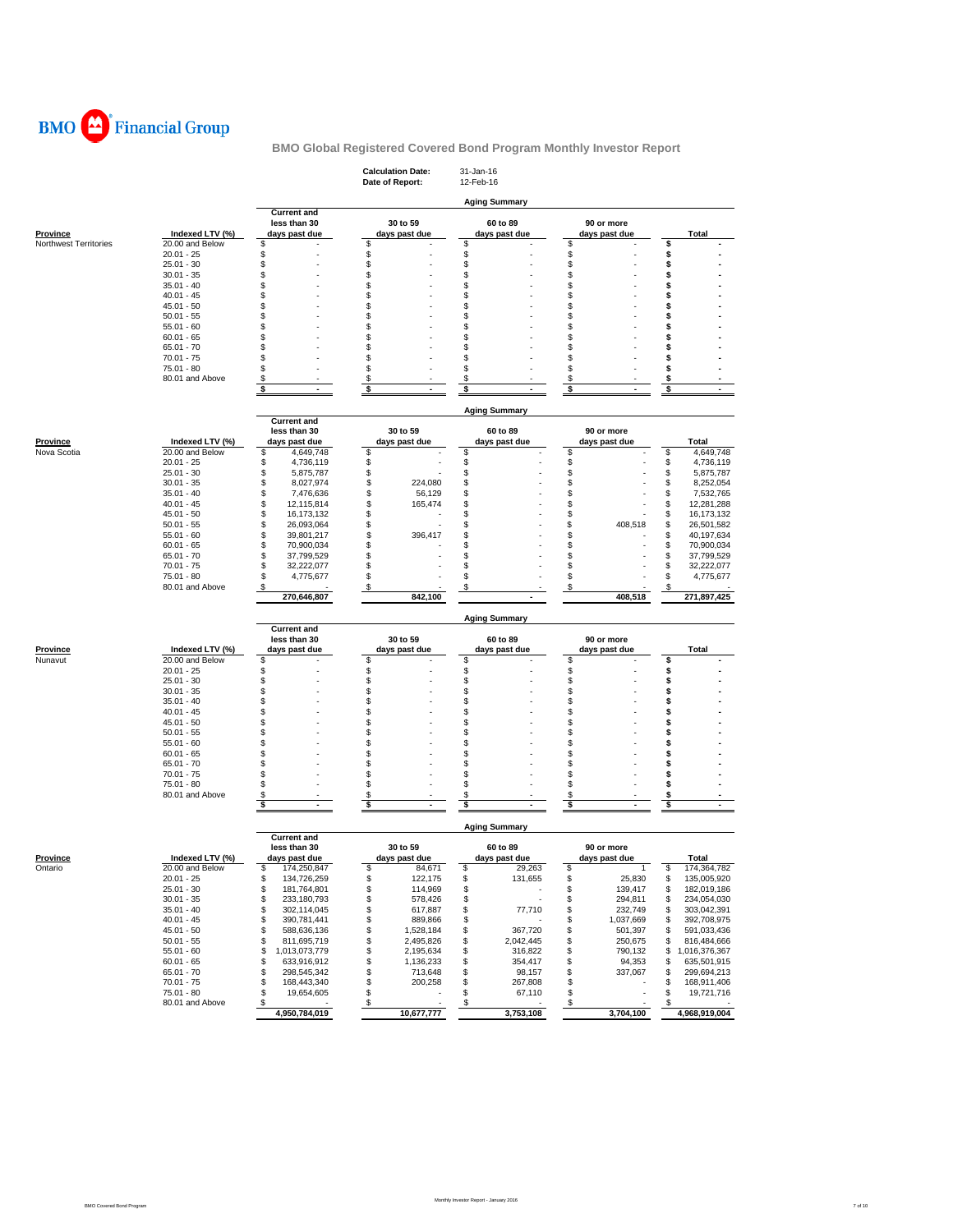

|                              |                                    |                                          | <b>Calculation Date:</b><br>Date of Report: | 31-Jan-16<br>12-Feb-16         |                                      |                                        |
|------------------------------|------------------------------------|------------------------------------------|---------------------------------------------|--------------------------------|--------------------------------------|----------------------------------------|
|                              |                                    |                                          |                                             |                                |                                      |                                        |
|                              |                                    | <b>Current and</b>                       |                                             | <b>Aging Summary</b>           |                                      |                                        |
|                              |                                    | less than 30                             | 30 to 59                                    | 60 to 89                       | 90 or more                           |                                        |
| Province                     | Indexed LTV (%)<br>20.00 and Below | days past due<br>\$                      | days past due<br>\$                         | days past due<br>\$            | days past due<br>\$                  | Total<br>\$                            |
| <b>Northwest Territories</b> | $20.01 - 25$                       | S                                        | \$                                          | \$                             | \$                                   | \$                                     |
|                              | $25.01 - 30$                       | S                                        | \$                                          | \$                             | \$                                   | \$                                     |
|                              | $30.01 - 35$                       | S                                        | \$                                          | S                              | \$                                   | S                                      |
|                              | $35.01 - 40$                       | \$                                       | \$                                          | \$                             | \$                                   | \$                                     |
|                              | $40.01 - 45$<br>$45.01 - 50$       | S<br>S                                   | \$<br>\$                                    | S<br>S                         | \$<br>\$                             | Ś<br>\$                                |
|                              | $50.01 - 55$                       | S                                        | \$                                          | S                              | \$                                   | \$                                     |
|                              | $55.01 - 60$                       | S                                        | \$                                          | S                              | \$                                   | S                                      |
|                              | $60.01 - 65$                       | S                                        | \$                                          | S                              | \$                                   | \$                                     |
|                              | $65.01 - 70$                       | £.                                       | \$                                          | S                              | \$                                   | s                                      |
|                              | $70.01 - 75$<br>$75.01 - 80$       | S                                        | \$<br>\$                                    | S<br>S                         | \$<br>\$                             | s<br>s                                 |
|                              | 80.01 and Above                    | S                                        | \$                                          | S                              | \$                                   | \$                                     |
|                              |                                    | \$                                       | \$                                          | \$                             | \$                                   | \$                                     |
|                              |                                    |                                          |                                             |                                |                                      |                                        |
|                              |                                    | <b>Current and</b>                       |                                             | <b>Aging Summary</b>           |                                      |                                        |
|                              |                                    | less than 30                             | 30 to 59                                    | 60 to 89                       | 90 or more                           |                                        |
| Province                     | Indexed LTV (%)                    | days past due                            | days past due                               | days past due                  | days past due                        | <b>Total</b>                           |
| Nova Scotia                  | 20.00 and Below                    | 4,649,748<br>\$                          | \$                                          | \$                             | S                                    | \$<br>4,649,748                        |
|                              | $20.01 - 25$                       | \$<br>4,736,119                          | \$                                          | \$                             | \$                                   | \$<br>4,736,119                        |
|                              | $25.01 - 30$                       | \$<br>5,875,787                          | \$                                          | \$                             | \$                                   | \$<br>5,875,787                        |
|                              | $30.01 - 35$                       | \$<br>8,027,974                          | \$<br>224,080                               | \$                             | \$                                   | \$<br>8,252,054                        |
|                              | $35.01 - 40$<br>$40.01 - 45$       | \$<br>7,476,636<br>\$<br>12,115,814      | \$<br>56,129<br>\$<br>165,474               | \$<br>\$                       | \$<br>\$                             | \$<br>7,532,765<br>\$<br>12,281,288    |
|                              | $45.01 - 50$                       | \$<br>16,173,132                         | \$                                          | \$                             | \$                                   | \$<br>16,173,132                       |
|                              | $50.01 - 55$                       | \$<br>26,093,064                         | \$                                          | \$                             | S<br>408,518                         | \$<br>26,501,582                       |
|                              | $55.01 - 60$                       | \$<br>39,801,217                         | \$<br>396,417                               | \$                             | \$                                   | \$<br>40,197,634                       |
|                              | $60.01 - 65$                       | \$<br>70,900,034                         | \$                                          | \$                             | \$                                   | \$<br>70,900,034                       |
|                              | $65.01 - 70$                       | \$<br>37,799,529                         | \$                                          | \$                             | \$                                   | \$<br>37,799,529                       |
|                              | $70.01 - 75$<br>75.01 - 80         | \$<br>32,222,077<br>\$<br>4,775,677      | \$<br>\$                                    | \$<br>\$                       | \$<br>\$                             | \$<br>32,222,077<br>S<br>4,775,677     |
|                              | 80.01 and Above                    | \$                                       | \$                                          | \$                             | \$                                   | \$                                     |
|                              |                                    | 270,646,807                              | 842,100                                     |                                | 408,518                              | 271,897,425                            |
|                              |                                    |                                          |                                             |                                |                                      |                                        |
|                              |                                    | <b>Current and</b>                       |                                             | <b>Aging Summary</b>           |                                      |                                        |
|                              |                                    | less than 30                             | 30 to 59                                    | 60 to 89                       | 90 or more                           |                                        |
| <b>Province</b>              | Indexed LTV (%)                    | days past due                            | days past due                               | days past due                  | days past due                        | Total                                  |
| Nunavut                      | 20.00 and Below                    | \$                                       | \$                                          | \$                             | \$                                   | \$                                     |
|                              | $20.01 - 25$<br>$25.01 - 30$       | \$<br>\$                                 | \$<br>\$                                    | \$<br>\$                       | \$<br>\$                             | \$<br>s                                |
|                              | $30.01 - 35$                       | S                                        | \$                                          | \$                             | \$                                   | Ś                                      |
|                              | $35.01 - 40$                       | S                                        | \$                                          | S                              | \$                                   | S                                      |
|                              | $40.01 - 45$                       | S                                        | \$                                          | S                              | \$                                   | \$                                     |
|                              | $45.01 - 50$                       | S                                        | \$                                          | S                              | \$                                   | \$                                     |
|                              | $50.01 - 55$                       | S                                        | \$                                          | S                              | \$                                   | S                                      |
|                              | $55.01 - 60$<br>$60.01 - 65$       | S<br>S                                   | \$<br>\$                                    | \$<br>S                        | \$<br>\$                             | s<br>\$                                |
|                              | $65.01 - 70$                       | S                                        | \$                                          | S                              | \$                                   | \$                                     |
|                              | $70.01 - 75$                       | S                                        | \$                                          | S                              | \$                                   | \$                                     |
|                              | 75.01 - 80                         | S                                        | \$                                          | S                              | \$                                   | Ś                                      |
|                              | 80.01 and Above                    | \$<br>ä,                                 | \$                                          | \$<br>ä,                       | \$<br>Ĭ.                             | s                                      |
|                              |                                    | \$                                       | \$                                          | \$                             | \$                                   | \$                                     |
|                              |                                    |                                          |                                             | <b>Aging Summary</b>           |                                      |                                        |
|                              |                                    | <b>Current and</b>                       |                                             |                                |                                      |                                        |
|                              |                                    | less than 30                             | 30 to 59                                    | 60 to 89                       | 90 or more                           |                                        |
| <b>Province</b>              | Indexed LTV (%)                    | days past due                            | days past due                               | days past due                  | days past due                        | <b>Total</b>                           |
| Ontario                      | 20.00 and Below<br>$20.01 - 25$    | S,<br>174,250,847<br>\$<br>134,726,259   | S<br>84,671<br>\$<br>122,175                | \$<br>29,263<br>\$<br>131,655  | \$<br>$\overline{1}$<br>\$<br>25,830 | \$<br>174,364,782<br>\$<br>135,005,920 |
|                              | $25.01 - 30$                       | \$<br>181,764,801                        | \$<br>114,969                               | \$                             | \$<br>139,417                        | \$<br>182,019,186                      |
|                              | $30.01 - 35$                       | \$<br>233,180,793                        | \$<br>578,426                               | \$                             | \$<br>294,811                        | \$<br>234,054,030                      |
|                              | $35.01 - 40$                       | \$<br>302,114,045                        | \$<br>617,887                               | \$<br>77,710                   | \$<br>232,749                        | 303,042,391<br>\$                      |
|                              | $40.01 - 45$                       | \$<br>390,781,441                        | \$<br>889,866                               | \$                             | \$<br>1,037,669                      | \$<br>392,708,975                      |
|                              | $45.01 - 50$                       | \$<br>588,636,136                        | \$<br>1,528,184                             | \$<br>367,720                  | \$<br>501,397                        | 591,033,436<br>\$                      |
|                              | $50.01 - 55$                       | \$<br>811,695,719                        | \$<br>2,495,826                             | 2,042,445<br>\$                | \$<br>250,675                        | 816,484,666<br>\$                      |
|                              | $55.01 - 60$<br>$60.01 - 65$       | \$<br>1,013,073,779<br>\$<br>633,916,912 | \$<br>2,195,634<br>\$<br>1,136,233          | \$<br>316,822<br>354,417<br>\$ | \$<br>790,132<br>\$<br>94,353        | \$1,016,376,367<br>635,501,915<br>\$   |
|                              | $65.01 - 70$                       | \$<br>298,545,342                        | \$<br>713,648                               | \$<br>98,157                   | \$<br>337,067                        | \$<br>299,694,213                      |
|                              | $70.01 - 75$                       | \$<br>168,443,340                        | \$<br>200,258                               | 267,808<br>\$                  | \$                                   | \$<br>168,911,406                      |
|                              | $75.01 - 80$                       | \$<br>19,654,605                         | \$<br>$\sim$                                | \$<br>67,110                   | \$                                   | \$<br>19,721,716                       |
|                              | 80.01 and Above                    | \$<br>$\overline{\phantom{a}}$           | \$                                          | \$                             | \$                                   | \$                                     |
|                              |                                    | 4,950,784,019                            | 10,677,777                                  | 3,753,108                      | 3,704,100                            | 4,968,919,004                          |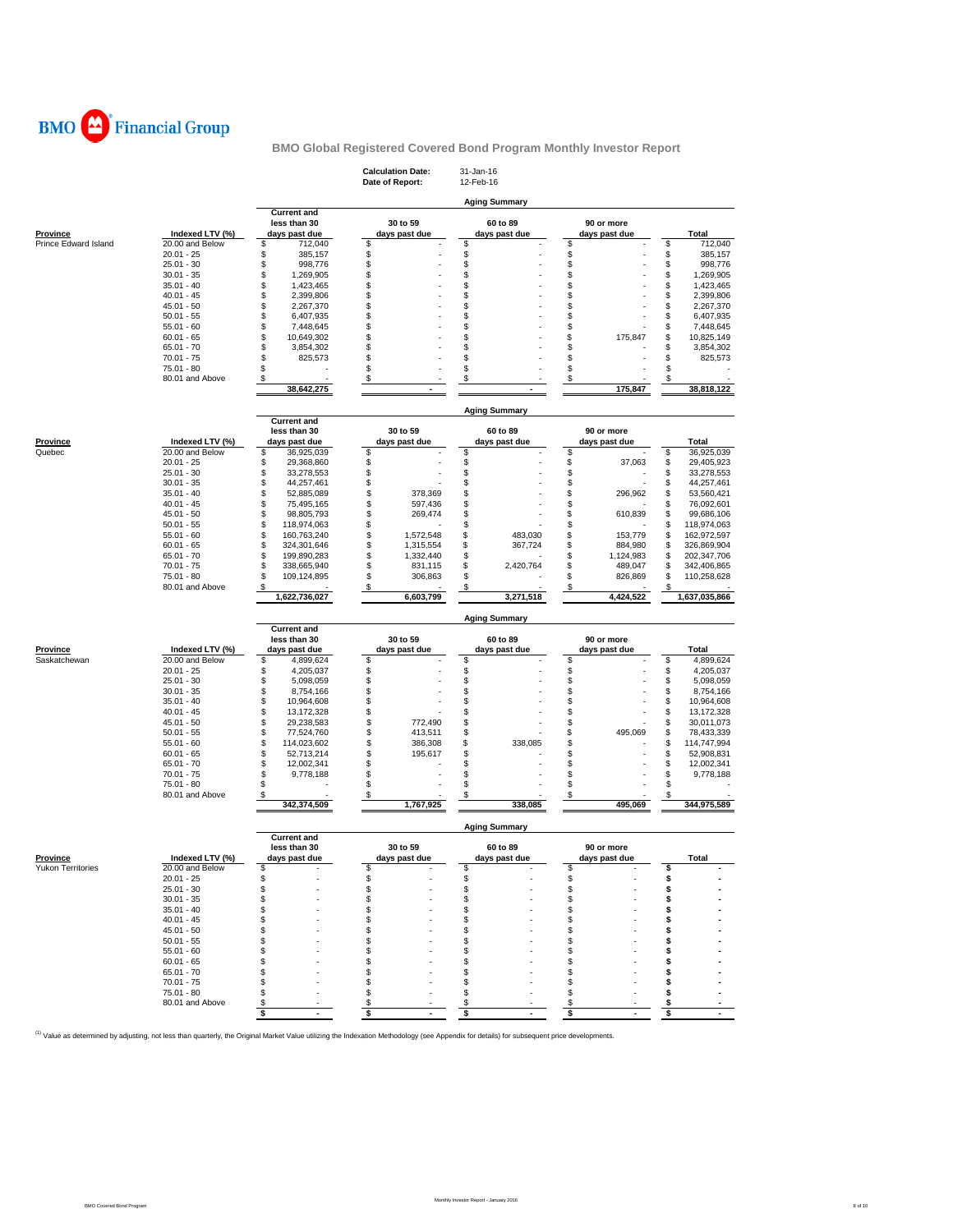

|                      |                                 |                                                     | <b>Calculation Date:</b><br>Date of Report: | 31-Jan-16<br>12-Feb-16    |                                |                                        |
|----------------------|---------------------------------|-----------------------------------------------------|---------------------------------------------|---------------------------|--------------------------------|----------------------------------------|
|                      |                                 |                                                     |                                             | <b>Aging Summary</b>      |                                |                                        |
| <b>Province</b>      | Indexed LTV (%)                 | <b>Current and</b><br>less than 30<br>days past due | 30 to 59<br>days past due                   | 60 to 89<br>days past due | 90 or more<br>days past due    | Total                                  |
| Prince Edward Island | 20.00 and Below<br>$20.01 - 25$ | \$<br>712,040<br>\$<br>385,157                      | \$<br>\$                                    | \$<br>\$                  | \$<br>\$                       | \$<br>712,040<br>\$<br>385,157         |
|                      | $25.01 - 30$                    | \$<br>998,776                                       | \$                                          | \$                        | \$                             | \$<br>998,776                          |
|                      | $30.01 - 35$                    | \$<br>1,269,905                                     | \$                                          | \$                        | \$                             | \$<br>1,269,905                        |
|                      | $35.01 - 40$<br>$40.01 - 45$    | \$<br>1,423,465<br>\$<br>2,399,806                  | \$<br>\$                                    | \$<br>\$                  | \$<br>\$                       | \$<br>1,423,465<br>\$<br>2,399,806     |
|                      | $45.01 - 50$                    | \$<br>2,267,370                                     | \$                                          | \$                        | \$                             | \$<br>2,267,370                        |
|                      | $50.01 - 55$                    | \$<br>6,407,935                                     | \$                                          | \$                        | \$                             | \$<br>6,407,935                        |
|                      | $55.01 - 60$                    | \$<br>7,448,645                                     | \$                                          | \$                        | \$                             | \$<br>7,448,645                        |
|                      | $60.01 - 65$<br>$65.01 - 70$    | \$<br>10,649,302<br>\$<br>3,854,302                 | \$<br>\$                                    | \$<br>\$                  | \$<br>175,847<br>\$            | \$<br>10,825,149<br>\$<br>3,854,302    |
|                      | $70.01 - 75$                    | \$<br>825,573                                       | \$                                          | \$                        | \$                             | \$<br>825,573                          |
|                      | 75.01 - 80                      | \$                                                  | \$                                          | \$                        | \$                             | \$                                     |
|                      | 80.01 and Above                 | \$<br>38,642,275                                    | \$                                          | \$                        | \$<br>175,847                  | \$<br>38,818,122                       |
|                      |                                 |                                                     |                                             |                           |                                |                                        |
|                      |                                 | <b>Current and</b>                                  |                                             | <b>Aging Summary</b>      |                                |                                        |
| Province             | Indexed LTV (%)                 | less than 30<br>days past due                       | 30 to 59<br>days past due                   | 60 to 89<br>days past due | 90 or more<br>days past due    | Total                                  |
| Quebec               | 20.00 and Below                 | \$<br>36,925,039                                    | \$                                          | \$                        | \$                             | \$<br>36,925,039                       |
|                      | $20.01 - 25$<br>$25.01 - 30$    | \$<br>29,368,860<br>\$<br>33,278,553                | \$<br>\$                                    | \$<br>\$                  | \$<br>37,063<br>\$             | \$<br>29,405,923<br>\$<br>33,278,553   |
|                      | $30.01 - 35$                    | \$<br>44,257,461                                    | \$                                          | \$                        | \$                             | \$<br>44,257,461                       |
|                      | $35.01 - 40$                    | \$<br>52,885,089                                    | \$<br>378,369                               | \$                        | \$<br>296,962                  | \$<br>53,560,421                       |
|                      | $40.01 - 45$                    | \$<br>75,495,165                                    | \$<br>597,436                               | \$                        | \$                             | \$<br>76,092,601                       |
|                      | $45.01 - 50$<br>$50.01 - 55$    | \$<br>98,805,793<br>\$<br>118,974,063               | \$<br>269,474<br>\$                         | \$<br>\$                  | \$<br>610,839<br>\$            | \$<br>99,686,106<br>\$<br>118,974,063  |
|                      | $55.01 - 60$                    | \$<br>160,763,240                                   | \$<br>1,572,548                             | \$<br>483,030             | \$<br>153,779                  | \$<br>162,972,597                      |
|                      | $60.01 - 65$                    | \$<br>324,301,646                                   | \$<br>1,315,554                             | \$<br>367,724             | \$<br>884,980                  | \$<br>326,869,904                      |
|                      | $65.01 - 70$                    | \$<br>199,890,283                                   | \$<br>1,332,440                             | \$                        | \$<br>1,124,983                | \$<br>202,347,706                      |
|                      | $70.01 - 75$<br>75.01 - 80      | \$<br>338,665,940<br>\$<br>109,124,895              | \$<br>831,115<br>\$<br>306,863              | \$<br>2,420,764<br>\$     | \$<br>489,047<br>\$<br>826,869 | \$<br>342,406,865<br>\$<br>110,258,628 |
|                      | 80.01 and Above                 | \$                                                  | \$                                          | \$                        | \$                             | \$                                     |
|                      |                                 | 1,622,736,027                                       | 6,603,799                                   | 3,271,518                 | 4,424,522                      | 1,637,035,866                          |
|                      |                                 |                                                     |                                             |                           |                                |                                        |
|                      |                                 |                                                     |                                             | <b>Aging Summary</b>      |                                |                                        |
|                      |                                 | <b>Current and</b>                                  |                                             |                           |                                |                                        |
| Province             | Indexed LTV (%)                 | less than 30<br>days past due                       | 30 to 59<br>days past due                   | 60 to 89<br>days past due | 90 or more<br>days past due    | Total                                  |
| Saskatchewan         | 20.00 and Below                 | \$<br>4,899,624                                     | \$                                          | \$                        | \$                             | \$<br>4,899,624                        |
|                      | $20.01 - 25$                    | \$<br>4,205,037                                     |                                             | \$                        | \$                             | \$<br>4,205,037                        |
|                      | $25.01 - 30$                    | \$<br>5,098,059                                     | \$                                          | \$                        | \$                             | \$<br>5,098,059                        |
|                      | $30.01 - 35$<br>$35.01 - 40$    | \$<br>8,754,166<br>\$<br>10,964,608                 | \$<br>\$                                    | \$<br>\$                  | \$<br>\$                       | \$<br>8,754,166<br>\$<br>10,964,608    |
|                      | $40.01 - 45$                    | \$<br>13,172,328                                    | \$                                          | \$                        | \$                             | \$<br>13,172,328                       |
|                      | $45.01 - 50$                    | \$<br>29,238,583                                    | \$<br>772,490                               | \$                        | \$                             | \$<br>30,011,073                       |
|                      | $50.01 - 55$                    | \$<br>77,524,760                                    | \$<br>413,511                               | \$                        | \$<br>495,069                  | \$<br>78,433,339                       |
|                      | $55.01 - 60$<br>$60.01 - 65$    | \$<br>114,023,602<br>\$<br>52,713,214               | \$<br>386,308<br>\$<br>195,617              | \$<br>338,085<br>\$       | \$<br>\$                       | \$<br>114,747,994<br>\$<br>52,908,831  |
|                      | $65.01 - 70$                    | \$<br>12,002,341                                    | \$                                          | \$                        | \$                             | \$<br>12,002,341                       |
|                      | $70.01 - 75$                    | \$<br>9,778,188                                     | \$                                          | \$                        | \$                             | \$<br>9,778,188                        |
|                      | $75.01 - 80$<br>80.01 and Above | \$                                                  | \$<br>\$                                    | \$<br>\$                  | \$<br>\$                       | \$<br>\$                               |
|                      |                                 | \$<br>342,374,509                                   | 1,767,925                                   | 338,085                   | 495,069                        | 344,975,589                            |
|                      |                                 |                                                     |                                             | <b>Aging Summary</b>      |                                |                                        |
|                      |                                 | <b>Current and</b><br>less than 30                  | 30 to 59                                    | 60 to 89                  | 90 or more                     |                                        |
| Province             | Indexed LTV (%)                 | days nast due                                       | days nast due                               | days nast due             | davs nast due                  | Total                                  |
| Yukon Territories    | 20.00 and Below                 | \$<br>\$                                            | \$                                          | \$                        | \$                             | \$<br>\$                               |
|                      | $20.01 - 25$<br>$25.01 - 30$    | \$                                                  | \$<br>\$                                    | \$<br>\$                  | \$<br>\$                       | \$                                     |
|                      | $30.01 - 35$                    | S                                                   | \$                                          | \$                        | \$                             | \$                                     |
|                      | $35.01 - 40$                    | S                                                   | \$                                          | \$                        | \$                             | \$                                     |
|                      | $40.01 - 45$<br>$45.01 - 50$    | S<br>s                                              | \$<br>\$                                    | \$<br>\$                  | \$<br>\$                       | s<br>\$                                |
|                      | $50.01 - 55$                    | S                                                   | \$                                          | \$                        | \$                             | \$                                     |
|                      | $55.01 - 60$                    | S                                                   | \$                                          | \$                        | \$                             | \$                                     |
|                      | $60.01 - 65$                    |                                                     | \$                                          | \$                        | \$                             | \$                                     |
|                      | $65.01 - 70$                    |                                                     | \$                                          | \$<br>\$                  | \$<br>\$                       | \$                                     |
|                      | $70.01 - 75$<br>$75.01 - 80$    |                                                     | \$<br>\$                                    | \$                        | \$                             | \$<br>\$                               |
|                      | 80.01 and Above                 | \$<br>$\sim$                                        | \$<br>\$<br>$\overline{a}$                  | \$<br>\$                  | \$<br>\$<br>$\sim$             | \$<br>\$                               |

<sup>(1)</sup> Value as determined by adjusting, not less than quarterly, the Original Market Value utilizing the Indexation Methodology (see Appendix for details) for subsequent price developments.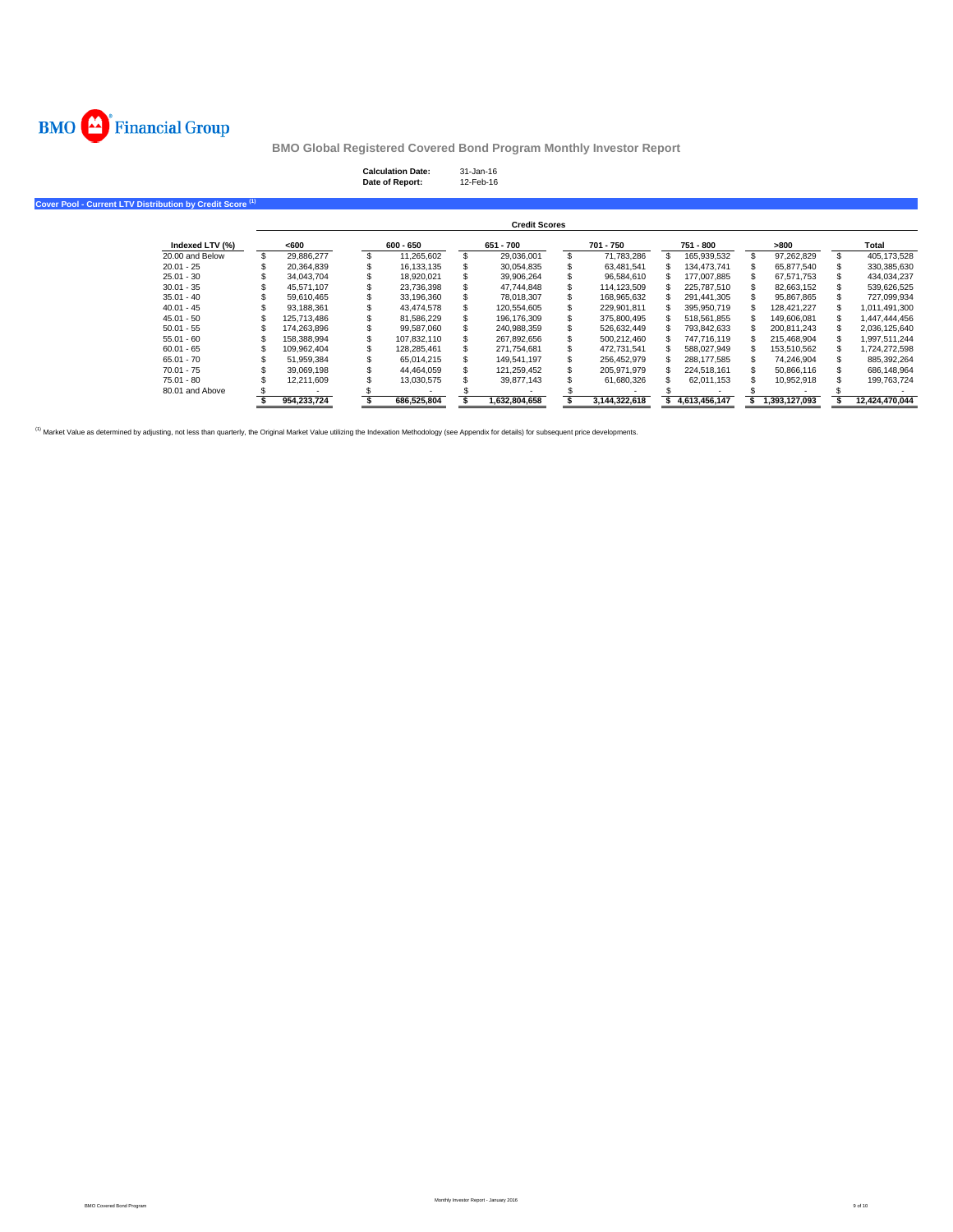

# **Calculation Date:** 31-Jan-16 **Date of Report:** 12-Feb-16

**Cover Pool - Current LTV Distribution by Credit Score (1)**

|                 |             |             | <b>Credit Scores</b> |               |               |                  |                |
|-----------------|-------------|-------------|----------------------|---------------|---------------|------------------|----------------|
| Indexed LTV (%) | <600        | $600 - 650$ | 651 - 700            | 701 - 750     | 751 - 800     | >800             | Total          |
| 20.00 and Below | 29.886.277  | 11.265.602  | 29.036.001           | 71.783.286    | 165.939.532   | \$<br>97.262.829 | 405.173.528    |
| $20.01 - 25$    | 20.364.839  | 16.133.135  | 30.054.835           | 63.481.541    | 134.473.741   | 65.877.540       | 330,385,630    |
| $25.01 - 30$    | 34.043.704  | 18.920.021  | 39.906.264           | 96.584.610    | 177.007.885   | 67.571.753       | 434.034.237    |
| $30.01 - 35$    | 45.571.107  | 23.736.398  | 47.744.848           | 114.123.509   | 225.787.510   | 82.663.152       | 539.626.525    |
| $35.01 - 40$    | 59.610.465  | 33.196.360  | 78,018,307           | 168,965,632   | 291.441.305   | 95.867.865       | 727,099,934    |
| $40.01 - 45$    | 93.188.361  | 43.474.578  | 120.554.605          | 229.901.811   | 395.950.719   | 128.421.227      | 1.011.491.300  |
| $45.01 - 50$    | 125.713.486 | 81.586.229  | 196.176.309          | 375,800,495   | 518.561.855   | 149.606.081      | 1.447.444.456  |
| $50.01 - 55$    | 174.263.896 | 99.587.060  | 240.988.359          | 526.632.449   | 793.842.633   | 200.811.243      | 2,036,125,640  |
| $55.01 - 60$    | 158.388.994 | 107.832.110 | 267.892.656          | 500.212.460   | 747.716.119   | 215.468.904      | 1,997,511,244  |
| $60.01 - 65$    | 109.962.404 | 128.285.461 | 271.754.681          | 472.731.541   | 588.027.949   | 153.510.562      | ,724,272,598   |
| $65.01 - 70$    | 51.959.384  | 65.014.215  | 149.541.197          | 256.452.979   | 288.177.585   | 74.246.904       | 885,392,264    |
| $70.01 - 75$    | 39.069.198  | 44.464.059  | 121.259.452          | 205.971.979   | 224.518.161   | 50.866.116       | 686.148.964    |
| 75.01 - 80      | 12.211.609  | 13.030.575  | 39.877.143           | 61.680.326    | 62.011.153    | 10.952.918       | 199.763.724    |
| 80.01 and Above |             |             |                      |               |               |                  |                |
|                 | 954.233.724 | 686.525.804 | 1.632.804.658        | 3.144.322.618 | 4.613.456.147 | 1.393.127.093    | 12.424.470.044 |

<sup>(1)</sup> Market Value as determined by adjusting, not less than quarterly, the Original Market Value utilizing the Indexation Methodology (see Appendix for details) for subsequent price developments.